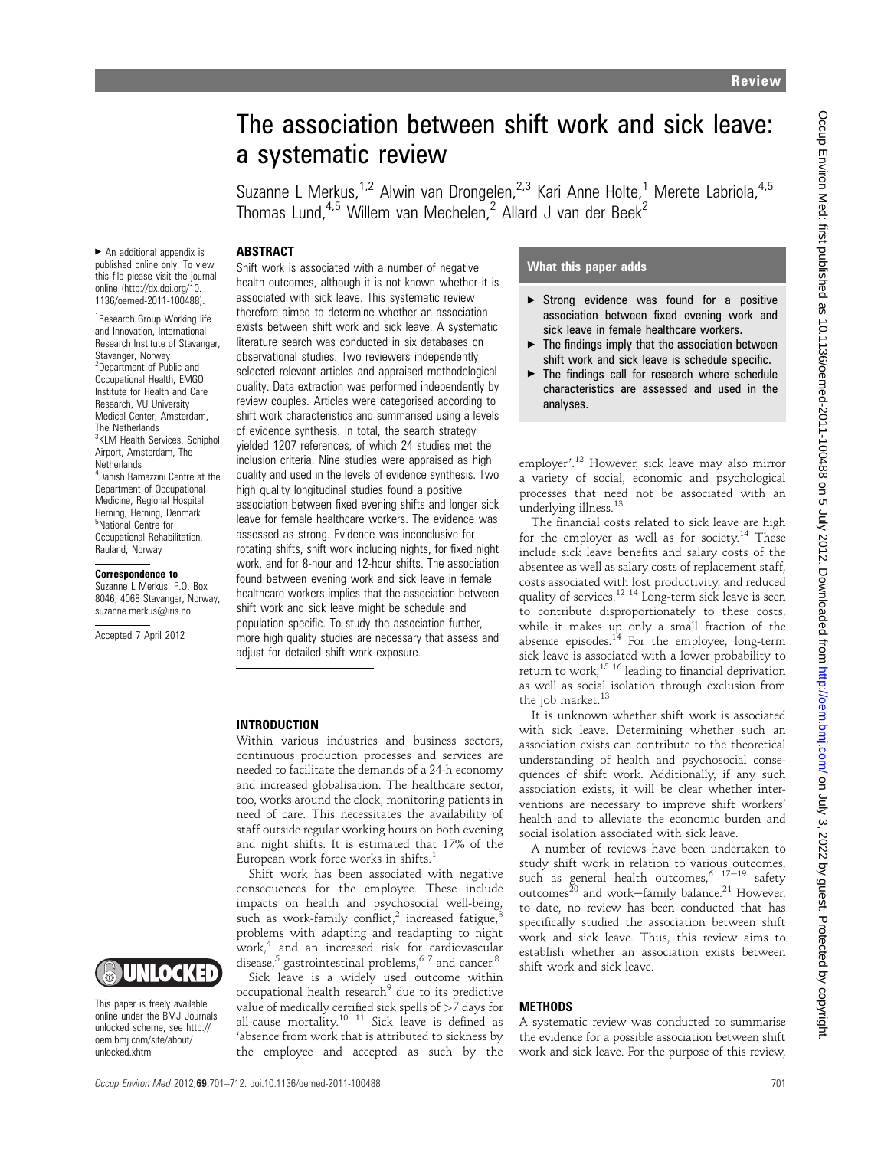# Occup Environ Med: first published as 10.1136/oemed-2011-100488 on 5 July 2012. Downloaded from http://oem.bmj.com/ on July 3, 2022 by guest. Protected by copyright Occup Environ Med: first published as 10.1136/oemed-2011-100488 on 5 July 2012. Downloaded from <del>http:</del>//oem.bmj.com/ on July 3, 2022 by guest. Protected by copyright.

# The association between shift work and sick leave: a systematic review

Suzanne L Merkus,<sup>1,2</sup> Alwin van Drongelen,<sup>2,3</sup> Kari Anne Holte,<sup>1</sup> Merete Labriola,<sup>4,5</sup> Thomas Lund,  $4.5$  Willem van Mechelen, <sup>2</sup> Allard J van der Beek<sup>2</sup>

# **ABSTRACT**

 $\blacktriangleright$  An additional appendix is published online only. To view this file please visit the journal online (http://dx.doi.org/10. 1136/oemed-2011-100488).

<sup>1</sup> Research Group Working life and Innovation, International Research Institute of Stavanger, Stavanger, Norway <sup>2</sup>Department of Public and Occupational Health, EMGO Institute for Health and Care Research, VU University Medical Center, Amsterdam, The Netherlands <sup>3</sup>KLM Health Services, Schiphol Airport, Amsterdam, The **Netherlands** 4 Danish Ramazzini Centre at the Department of Occupational Medicine, Regional Hospital Herning, Herning, Denmark 5 National Centre for Occupational Rehabilitation, Rauland, Norway

### Correspondence to

Suzanne L Merkus, P.O. Box 8046, 4068 Stavanger, Norway; suzanne.merkus@iris.no

Accepted 7 April 2012

This paper is freely available online under the BMJ Journals unlocked scheme, see http:// oem.bmj.com/site/about/ unlocked.xhtml

UNIOCKED

Shift work is associated with a number of negative health outcomes, although it is not known whether it is associated with sick leave. This systematic review therefore aimed to determine whether an association exists between shift work and sick leave. A systematic literature search was conducted in six databases on observational studies. Two reviewers independently selected relevant articles and appraised methodological quality. Data extraction was performed independently by review couples. Articles were categorised according to shift work characteristics and summarised using a levels of evidence synthesis. In total, the search strategy yielded 1207 references, of which 24 studies met the inclusion criteria. Nine studies were appraised as high quality and used in the levels of evidence synthesis. Two high quality longitudinal studies found a positive association between fixed evening shifts and longer sick leave for female healthcare workers. The evidence was assessed as strong. Evidence was inconclusive for rotating shifts, shift work including nights, for fixed night work, and for 8-hour and 12-hour shifts. The association found between evening work and sick leave in female healthcare workers implies that the association between shift work and sick leave might be schedule and population specific. To study the association further, more high quality studies are necessary that assess and adjust for detailed shift work exposure.

### INTRODUCTION

Within various industries and business sectors, continuous production processes and services are needed to facilitate the demands of a 24-h economy and increased globalisation. The healthcare sector, too, works around the clock, monitoring patients in need of care. This necessitates the availability of staff outside regular working hours on both evening and night shifts. It is estimated that 17% of the European work force works in shifts.<sup>1</sup>

Shift work has been associated with negative consequences for the employee. These include impacts on health and psychosocial well-being, such as work-family conflict,<sup>2</sup> increased fatigue, $\frac{3}{2}$ problems with adapting and readapting to night work, $4$  and an increased risk for cardiovascular disease,<sup>5</sup> gastrointestinal problems, $67$  and cancer.<sup>8</sup>

Sick leave is a widely used outcome within occupational health research $9$  due to its predictive value of medically certified sick spells of >7 days for all-cause mortality.10 11 Sick leave is defined as 'absence from work that is attributed to sickness by the employee and accepted as such by the

# What this paper adds

- $\triangleright$  Strong evidence was found for a positive association between fixed evening work and sick leave in female healthcare workers.
- $\blacktriangleright$  The findings imply that the association between shift work and sick leave is schedule specific.
- $\blacktriangleright$  The findings call for research where schedule characteristics are assessed and used in the analyses.

employer'. <sup>12</sup> However, sick leave may also mirror a variety of social, economic and psychological processes that need not be associated with an underlying illness.<sup>13</sup>

The financial costs related to sick leave are high for the employer as well as for society.14 These include sick leave benefits and salary costs of the absentee as well as salary costs of replacement staff, costs associated with lost productivity, and reduced quality of services.<sup>12 14</sup> Long-term sick leave is seen to contribute disproportionately to these costs, while it makes up only a small fraction of the absence episodes.<sup>14</sup> For the employee, long-term sick leave is associated with a lower probability to return to work,<sup>15 16</sup> leading to financial deprivation as well as social isolation through exclusion from the job market.<sup>13</sup>

It is unknown whether shift work is associated with sick leave. Determining whether such an association exists can contribute to the theoretical understanding of health and psychosocial consequences of shift work. Additionally, if any such association exists, it will be clear whether interventions are necessary to improve shift workers' health and to alleviate the economic burden and social isolation associated with sick leave.

A number of reviews have been undertaken to study shift work in relation to various outcomes, such as general health outcomes,  $6^{6}$   $17-19$  safety outcomes<sup>20</sup> and work-family balance.<sup>21</sup> However, to date, no review has been conducted that has specifically studied the association between shift work and sick leave. Thus, this review aims to establish whether an association exists between shift work and sick leave.

### **METHODS**

A systematic review was conducted to summarise the evidence for a possible association between shift work and sick leave. For the purpose of this review,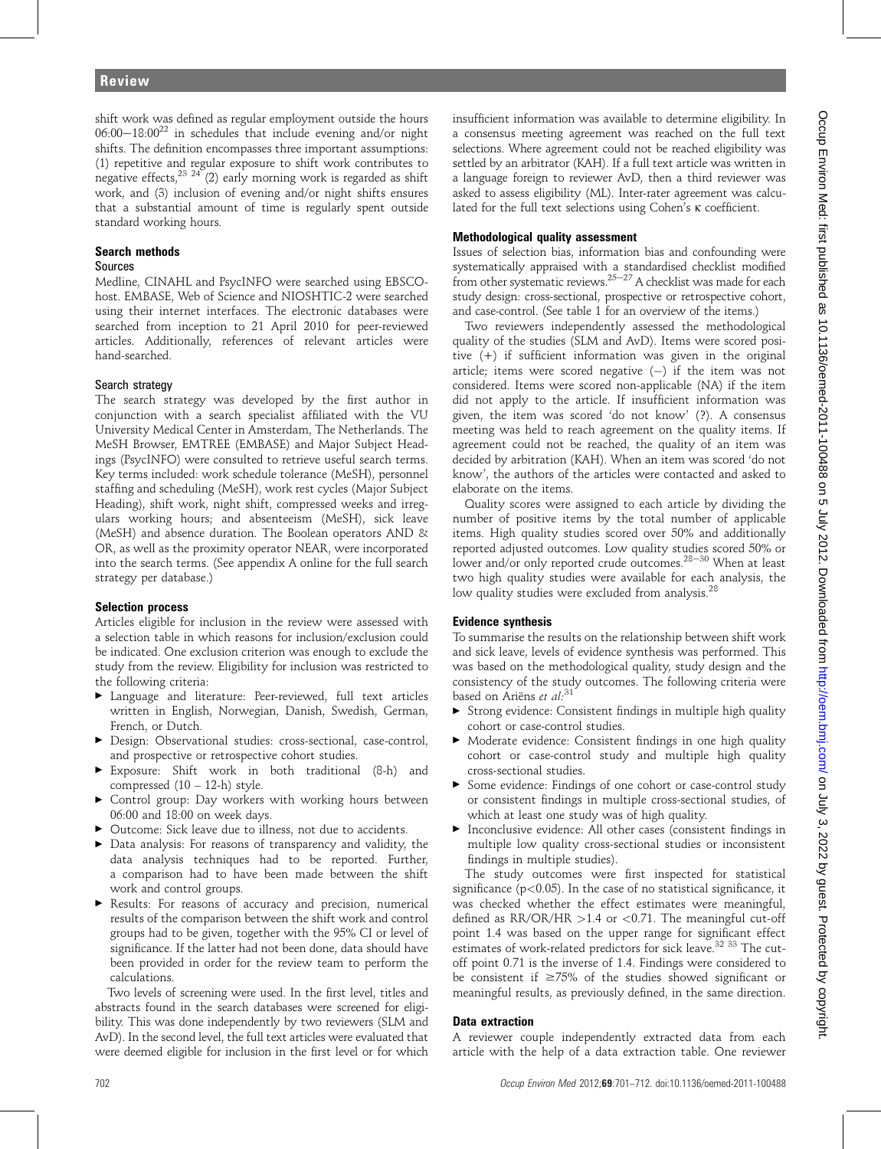shift work was defined as regular employment outside the hours  $06:00-18:00^{22}$  in schedules that include evening and/or night shifts. The definition encompasses three important assumptions: (1) repetitive and regular exposure to shift work contributes to negative effects,<sup>23</sup> <sup>24</sup> (2) early morning work is regarded as shift work, and (3) inclusion of evening and/or night shifts ensures that a substantial amount of time is regularly spent outside standard working hours.

### Search methods

### Sources

Medline, CINAHL and PsycINFO were searched using EBSCOhost. EMBASE, Web of Science and NIOSHTIC-2 were searched using their internet interfaces. The electronic databases were searched from inception to 21 April 2010 for peer-reviewed articles. Additionally, references of relevant articles were hand-searched.

# Search strategy

The search strategy was developed by the first author in conjunction with a search specialist affiliated with the VU University Medical Center in Amsterdam, The Netherlands. The MeSH Browser, EMTREE (EMBASE) and Major Subject Headings (PsycINFO) were consulted to retrieve useful search terms. Key terms included: work schedule tolerance (MeSH), personnel staffing and scheduling (MeSH), work rest cycles (Major Subject Heading), shift work, night shift, compressed weeks and irregulars working hours; and absenteeism (MeSH), sick leave (MeSH) and absence duration. The Boolean operators AND & OR, as well as the proximity operator NEAR, were incorporated into the search terms. (See appendix A online for the full search strategy per database.)

### Selection process

Articles eligible for inclusion in the review were assessed with a selection table in which reasons for inclusion/exclusion could be indicated. One exclusion criterion was enough to exclude the study from the review. Eligibility for inclusion was restricted to the following criteria:

- < Language and literature: Peer-reviewed, full text articles written in English, Norwegian, Danish, Swedish, German, French, or Dutch.
- < Design: Observational studies: cross-sectional, case-control, and prospective or retrospective cohort studies.
- ▶ Exposure: Shift work in both traditional (8-h) and compressed  $(10 - 12-h)$  style.
- < Control group: Day workers with working hours between 06:00 and 18:00 on week days.
- < Outcome: Sick leave due to illness, not due to accidents.
- < Data analysis: For reasons of transparency and validity, the data analysis techniques had to be reported. Further, a comparison had to have been made between the shift work and control groups.
- < Results: For reasons of accuracy and precision, numerical results of the comparison between the shift work and control groups had to be given, together with the 95% CI or level of significance. If the latter had not been done, data should have been provided in order for the review team to perform the calculations.

Two levels of screening were used. In the first level, titles and abstracts found in the search databases were screened for eligibility. This was done independently by two reviewers (SLM and AvD). In the second level, the full text articles were evaluated that were deemed eligible for inclusion in the first level or for which

insufficient information was available to determine eligibility. In a consensus meeting agreement was reached on the full text selections. Where agreement could not be reached eligibility was settled by an arbitrator (KAH). If a full text article was written in a language foreign to reviewer AvD, then a third reviewer was asked to assess eligibility (ML). Inter-rater agreement was calculated for the full text selections using Cohen's k coefficient.

# Methodological quality assessment

Issues of selection bias, information bias and confounding were systematically appraised with a standardised checklist modified from other systematic reviews. $25-27$  A checklist was made for each study design: cross-sectional, prospective or retrospective cohort, and case-control. (See table 1 for an overview of the items.)

Two reviewers independently assessed the methodological quality of the studies (SLM and AvD). Items were scored positive (+) if sufficient information was given in the original article; items were scored negative  $(-)$  if the item was not considered. Items were scored non-applicable (NA) if the item did not apply to the article. If insufficient information was given, the item was scored 'do not know' (?). A consensus meeting was held to reach agreement on the quality items. If agreement could not be reached, the quality of an item was decided by arbitration (KAH). When an item was scored 'do not know', the authors of the articles were contacted and asked to elaborate on the items.

Quality scores were assigned to each article by dividing the number of positive items by the total number of applicable items. High quality studies scored over 50% and additionally reported adjusted outcomes. Low quality studies scored 50% or lower and/or only reported crude outcomes.<sup>28-30</sup> When at least two high quality studies were available for each analysis, the low quality studies were excluded from analysis.<sup>28</sup>

### Evidence synthesis

To summarise the results on the relationship between shift work and sick leave, levels of evidence synthesis was performed. This was based on the methodological quality, study design and the consistency of the study outcomes. The following criteria were based on Ariëns et  $al$ <sup>31</sup>

- ▶ Strong evidence: Consistent findings in multiple high quality cohort or case-control studies.
- < Moderate evidence: Consistent findings in one high quality cohort or case-control study and multiple high quality cross-sectional studies.
- ▶ Some evidence: Findings of one cohort or case-control study or consistent findings in multiple cross-sectional studies, of which at least one study was of high quality.
- < Inconclusive evidence: All other cases (consistent findings in multiple low quality cross-sectional studies or inconsistent findings in multiple studies).

The study outcomes were first inspected for statistical significance ( $p<0.05$ ). In the case of no statistical significance, it was checked whether the effect estimates were meaningful, defined as RR/OR/HR >1.4 or <0.71. The meaningful cut-off point 1.4 was based on the upper range for significant effect estimates of work-related predictors for sick leave.<sup>32 33</sup> The cutoff point 0.71 is the inverse of 1.4. Findings were considered to be consistent if  $\geq 75\%$  of the studies showed significant or meaningful results, as previously defined, in the same direction.

# Data extraction

A reviewer couple independently extracted data from each article with the help of a data extraction table. One reviewer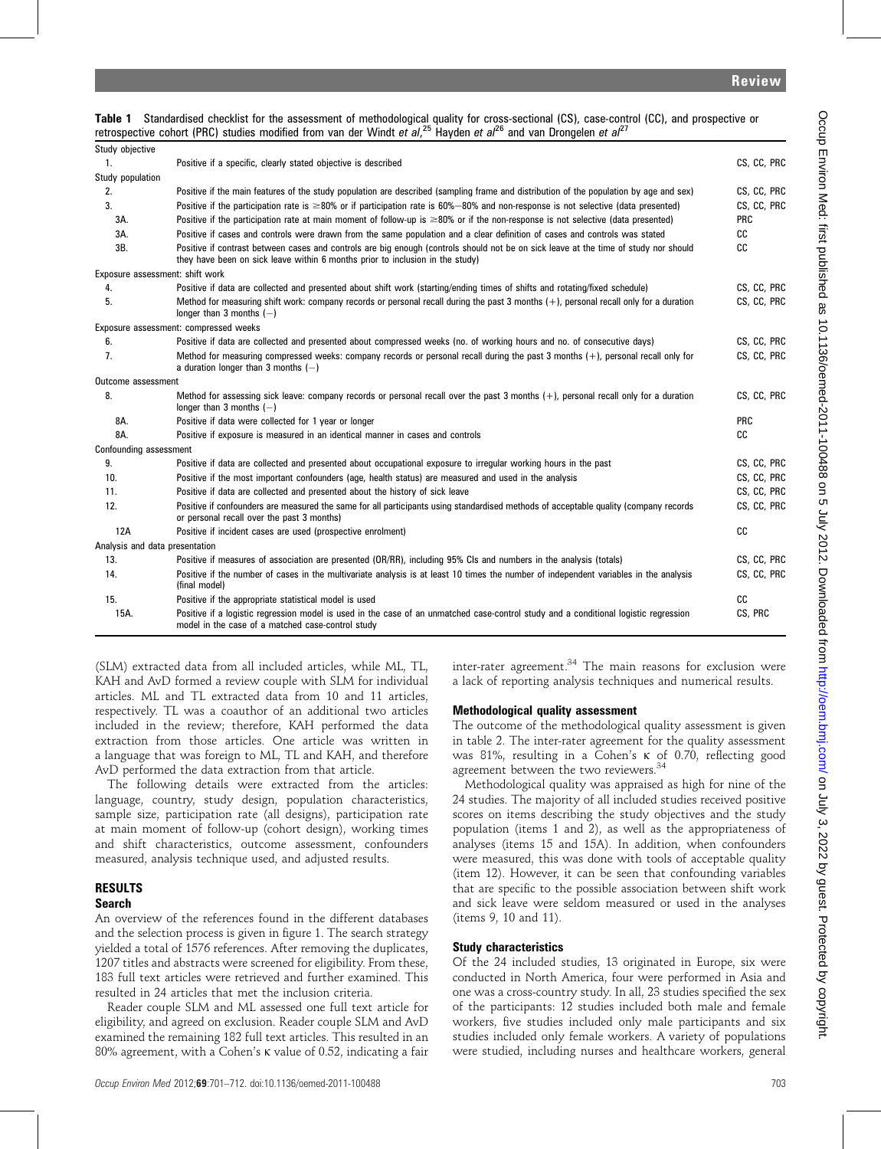Review

Table 1 Standardised checklist for the assessment of methodological quality for cross-sectional (CS), case-control (CC), and prospective or retrospective cohort (PRC) studies modified from van der Windt et al,<sup>25</sup> Hayden et al<sup>26</sup> and van Drongelen et al<sup>27</sup>

| Study objective                 |                                                                                                                                                                                                                       |             |
|---------------------------------|-----------------------------------------------------------------------------------------------------------------------------------------------------------------------------------------------------------------------|-------------|
| 1.                              | Positive if a specific, clearly stated objective is described                                                                                                                                                         | CS, CC, PRO |
| Study population                |                                                                                                                                                                                                                       |             |
| 2.                              | Positive if the main features of the study population are described (sampling frame and distribution of the population by age and sex)                                                                                | CS, CC, PRO |
| 3.                              | Positive if the participation rate is $\geq 80\%$ or if participation rate is 60%–80% and non-response is not selective (data presented)                                                                              | CS, CC, PRO |
| 3A.                             | Positive if the participation rate at main moment of follow-up is $\geq 80\%$ or if the non-response is not selective (data presented)                                                                                | PRC         |
| 3A.                             | Positive if cases and controls were drawn from the same population and a clear definition of cases and controls was stated                                                                                            | cc          |
| 3B.                             | Positive if contrast between cases and controls are big enough (controls should not be on sick leave at the time of study nor should<br>they have been on sick leave within 6 months prior to inclusion in the study) | cc          |
| Exposure assessment: shift work |                                                                                                                                                                                                                       |             |
| 4.                              | Positive if data are collected and presented about shift work (starting/ending times of shifts and rotating/fixed schedule)                                                                                           | CS, CC, PRO |
| 5.                              | Method for measuring shift work: company records or personal recall during the past $3$ months $(+)$ , personal recall only for a duration<br>longer than 3 months $(-)$                                              | CS, CC, PRO |
|                                 | Exposure assessment: compressed weeks                                                                                                                                                                                 |             |
| 6.                              | Positive if data are collected and presented about compressed weeks (no. of working hours and no. of consecutive days)                                                                                                | CS, CC, PRO |
| 7 <sub>1</sub>                  | Method for measuring compressed weeks: company records or personal recall during the past 3 months $(+)$ , personal recall only for<br>a duration longer than 3 months $(-)$                                          | CS, CC, PRO |
| Outcome assessment              |                                                                                                                                                                                                                       |             |
| 8.                              | Method for assessing sick leave: company records or personal recall over the past $3$ months $(+)$ , personal recall only for a duration<br>longer than 3 months $(-)$                                                | CS, CC, PRO |
| 8A.                             | Positive if data were collected for 1 year or longer                                                                                                                                                                  | PRC         |
| 8A.                             | Positive if exposure is measured in an identical manner in cases and controls                                                                                                                                         | cc          |
| Confounding assessment          |                                                                                                                                                                                                                       |             |
| 9.                              | Positive if data are collected and presented about occupational exposure to irregular working hours in the past                                                                                                       | CS, CC, PRO |
| 10.                             | Positive if the most important confounders (age, health status) are measured and used in the analysis                                                                                                                 | CS, CC, PRO |
| 11.                             | Positive if data are collected and presented about the history of sick leave                                                                                                                                          | CS, CC, PRO |
| 12.                             | Positive if confounders are measured the same for all participants using standardised methods of acceptable quality (company records<br>or personal recall over the past 3 months)                                    | CS, CC, PRO |
| 12A                             | Positive if incident cases are used (prospective enrolment)                                                                                                                                                           | cc          |
| Analysis and data presentation  |                                                                                                                                                                                                                       |             |
| 13.                             | Positive if measures of association are presented (OR/RR), including 95% CIs and numbers in the analysis (totals)                                                                                                     | CS, CC, PRO |
| 14.                             | Positive if the number of cases in the multivariate analysis is at least 10 times the number of independent variables in the analysis<br>(final model)                                                                | CS, CC, PRO |
| 15.                             | Positive if the appropriate statistical model is used                                                                                                                                                                 | cc          |
| 15A.                            | Positive if a logistic regression model is used in the case of an unmatched case-control study and a conditional logistic regression<br>model in the case of a matched case-control study                             | CS, PRC     |

(SLM) extracted data from all included articles, while ML, TL, KAH and AvD formed a review couple with SLM for individual articles. ML and TL extracted data from 10 and 11 articles, respectively. TL was a coauthor of an additional two articles included in the review; therefore, KAH performed the data extraction from those articles. One article was written in a language that was foreign to ML, TL and KAH, and therefore AvD performed the data extraction from that article.

The following details were extracted from the articles: language, country, study design, population characteristics, sample size, participation rate (all designs), participation rate at main moment of follow-up (cohort design), working times and shift characteristics, outcome assessment, confounders measured, analysis technique used, and adjusted results.

# RESULTS

# Search

An overview of the references found in the different databases and the selection process is given in figure 1. The search strategy yielded a total of 1576 references. After removing the duplicates, 1207 titles and abstracts were screened for eligibility. From these, 183 full text articles were retrieved and further examined. This resulted in 24 articles that met the inclusion criteria.

Reader couple SLM and ML assessed one full text article for eligibility, and agreed on exclusion. Reader couple SLM and AvD examined the remaining 182 full text articles. This resulted in an 80% agreement, with a Cohen's  $\kappa$  value of 0.52, indicating a fair inter-rater agreement.<sup>34</sup> The main reasons for exclusion were a lack of reporting analysis techniques and numerical results.

### Methodological quality assessment

The outcome of the methodological quality assessment is given in table 2. The inter-rater agreement for the quality assessment was 81%, resulting in a Cohen's k of 0.70, reflecting good agreement between the two reviewers.<sup>34</sup>

Methodological quality was appraised as high for nine of the 24 studies. The majority of all included studies received positive scores on items describing the study objectives and the study population (items 1 and 2), as well as the appropriateness of analyses (items 15 and 15A). In addition, when confounders were measured, this was done with tools of acceptable quality (item 12). However, it can be seen that confounding variables that are specific to the possible association between shift work and sick leave were seldom measured or used in the analyses (items 9, 10 and 11).

### Study characteristics

Of the 24 included studies, 13 originated in Europe, six were conducted in North America, four were performed in Asia and one was a cross-country study. In all, 23 studies specified the sex of the participants: 12 studies included both male and female workers, five studies included only male participants and six studies included only female workers. A variety of populations were studied, including nurses and healthcare workers, general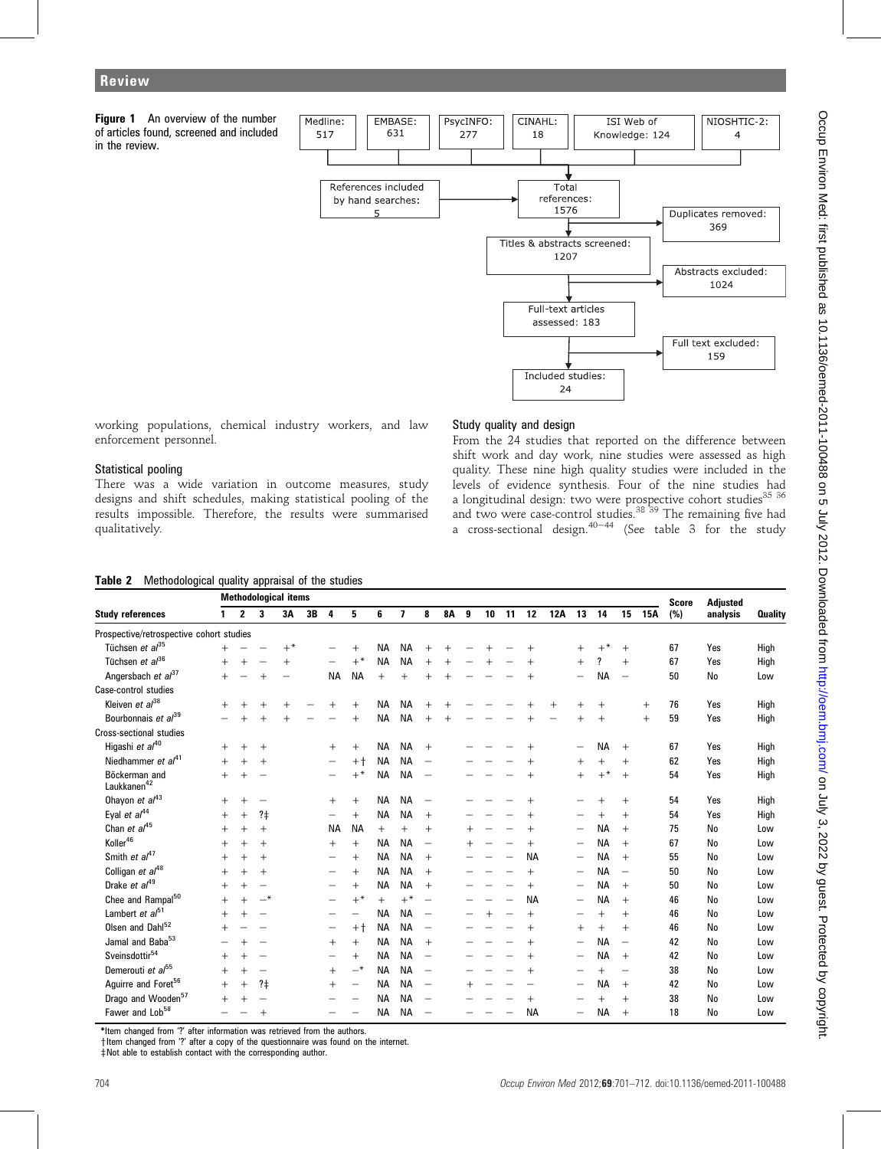Figure 1 An overview of the number of articles found, screened and included in the review.



working populations, chemical industry workers, and law enforcement personnel.

### Statistical pooling

There was a wide variation in outcome measures, study designs and shift schedules, making statistical pooling of the results impossible. Therefore, the results were summarised qualitatively.

# Study quality and design

From the 24 studies that reported on the difference between shift work and day work, nine studies were assessed as high quality. These nine high quality studies were included in the levels of evidence synthesis. Four of the nine studies had a longitudinal design: two were prospective cohort studies<sup>35 36</sup> and two were case-control studies.<sup>38 39</sup> The remaining five had a cross-sectional design. $40-44$  (See table 3 for the study

### Table 2 Methodological quality appraisal of the studies

|                                          |        |                |        | <b>Methodological items</b> |    |           |           |           |                         |                          |    |   |    |    |           |     |                          |           |                          |        | <b>Score</b> | <b>Adjusted</b> |                |
|------------------------------------------|--------|----------------|--------|-----------------------------|----|-----------|-----------|-----------|-------------------------|--------------------------|----|---|----|----|-----------|-----|--------------------------|-----------|--------------------------|--------|--------------|-----------------|----------------|
| <b>Study references</b>                  | 1      | $\mathbf{2}$   | 3      | 3A                          | 3B | 4         | 5         | 6         | $\overline{\mathbf{z}}$ | 8                        | 8A | 9 | 10 | 11 | 12        | 12A | 13                       | -14       | 15                       | 15A    | (%)          | analysis        | <b>Quality</b> |
| Prospective/retrospective cohort studies |        |                |        |                             |    |           |           |           |                         |                          |    |   |    |    |           |     |                          |           |                          |        |              |                 |                |
| Tüchsen et al <sup>35</sup>              | $^{+}$ |                |        | $+$ *                       |    |           |           | <b>NA</b> | <b>NA</b>               |                          |    |   |    |    |           |     |                          |           | $^{+}$                   |        | 67           | Yes             | High           |
| Tüchsen et $al^{36}$                     |        |                |        |                             |    |           | $+$ *     | <b>NA</b> | <b>NA</b>               |                          |    |   |    |    |           |     |                          |           | $^{+}$                   |        | 67           | Yes             | High           |
| Angersbach et $al^{37}$                  | $^{+}$ |                |        |                             |    | <b>NA</b> | <b>NA</b> | $^{+}$    | $^{+}$                  | $^{+}$                   |    |   |    |    |           |     | -                        | <b>NA</b> | $\overline{\phantom{0}}$ |        | 50           | No              | Low            |
| Case-control studies                     |        |                |        |                             |    |           |           |           |                         |                          |    |   |    |    |           |     |                          |           |                          |        |              |                 |                |
| Kleiven et $al^{38}$                     |        |                |        |                             |    |           | $^{+}$    | <b>NA</b> | <b>NA</b>               |                          |    |   |    |    |           |     | $\, +$                   |           |                          | $^{+}$ | 76           | Yes             | High           |
| Bourbonnais et al <sup>39</sup>          |        |                |        |                             |    |           | $^{+}$    | <b>NA</b> | <b>NA</b>               |                          |    |   |    |    |           |     | $^{+}$                   | $^{+}$    |                          | $^{+}$ | 59           | Yes             | High           |
| Cross-sectional studies                  |        |                |        |                             |    |           |           |           |                         |                          |    |   |    |    |           |     |                          |           |                          |        |              |                 |                |
| Higashi et al <sup>40</sup>              | $^+$   |                |        |                             |    |           | $+$       | <b>NA</b> | <b>NA</b>               | $^{+}$                   |    |   |    |    |           |     | $\overline{\phantom{0}}$ | <b>NA</b> | $^{+}$                   |        | 67           | Yes             | High           |
| Niedhammer et al <sup>41</sup>           | $^{+}$ |                | $^{+}$ |                             |    |           | $++$      | <b>NA</b> | <b>NA</b>               |                          |    |   |    |    |           |     | $^{+}$                   | $^{+}$    | $^{+}$                   |        | 62           | Yes             | High           |
| Böckerman and<br>Laukkanen <sup>42</sup> | $^+$   |                |        |                             |    |           | $+^*$     | <b>NA</b> | <b>NA</b>               |                          |    |   |    |    | $^{+}$    |     | $\ddot{}$                | $+$ *     | $^{+}$                   |        | 54           | Yes             | High           |
| Ohayon et al <sup>43</sup>               | $^+$   |                |        |                             |    | $^{+}$    | $^{+}$    | <b>NA</b> | <b>NA</b>               |                          |    |   |    |    | $^{+}$    |     |                          |           | $^{+}$                   |        | 54           | Yes             | High           |
| Eyal et $al^{44}$                        | $^{+}$ |                | ?†     |                             |    |           | $+$       | <b>NA</b> | NА                      | $^{+}$                   |    |   |    |    |           |     |                          |           | $^{+}$                   |        | 54           | Yes             | High           |
| Chan et $al^{45}$                        | $^+$   |                | $^{+}$ |                             |    | <b>NA</b> | <b>NA</b> | $^{+}$    | $^{+}$                  | $^{+}$                   |    |   |    |    |           |     | $\overline{\phantom{0}}$ | <b>NA</b> | $^{+}$                   |        | 75           | No              | Low            |
| Koller <sup>46</sup>                     | $^+$   |                | $^{+}$ |                             |    | $^{+}$    | $+$       | <b>NA</b> | <b>NA</b>               | -                        |    |   |    |    | $^{+}$    |     | -                        | NА        | $^{+}$                   |        | 67           | No              | Low            |
| Smith et al <sup>47</sup>                | $^+$   |                | $^{+}$ |                             |    |           | $^{+}$    | <b>NA</b> | <b>NA</b>               | $^{+}$                   |    |   |    |    | <b>NA</b> |     |                          | <b>NA</b> | $^{+}$                   |        | 55           | No              | Low            |
| Colligan et al <sup>48</sup>             | $^{+}$ |                | $^{+}$ |                             |    |           | $+$       | <b>NA</b> | <b>NA</b>               | $^{+}$                   |    |   |    |    | $^{+}$    |     |                          | NА        | —                        |        | 50           | No              | Low            |
| Drake et al <sup>49</sup>                | $^{+}$ |                |        |                             |    |           | $^{+}$    | <b>NA</b> | <b>NA</b>               | $^{+}$                   |    |   |    |    | $^{+}$    |     |                          | <b>NA</b> | $^{+}$                   |        | 50           | No              | Low            |
| Chee and Rampal <sup>50</sup>            | $^{+}$ |                |        |                             |    |           | $+$ *     | $^{+}$    | $+$ *                   |                          |    |   |    |    | <b>NA</b> |     |                          | <b>NA</b> | $^{+}$                   |        | 46           | No              | Low            |
| Lambert et $al^{51}$                     | $^+$   |                |        |                             |    |           |           | <b>NA</b> | <b>NA</b>               | -                        |    |   |    |    | $^{+}$    |     |                          | $^{+}$    | $^{+}$                   |        | 46           | No              | Low            |
| Olsen and Dahl <sup>52</sup>             | $^+$   |                |        |                             |    |           | $++$      | <b>NA</b> | <b>NA</b>               | $\overline{\phantom{0}}$ |    |   |    |    | $^{+}$    |     | $^{+}$                   | $+$       | $^{+}$                   |        | 46           | No              | Low            |
| Jamal and Baba <sup>53</sup>             |        |                |        |                             |    | $^{+}$    | $+$       | <b>NA</b> | <b>NA</b>               | $^{+}$                   |    |   |    |    |           |     | $\overline{\phantom{0}}$ | <b>NA</b> | $\overline{\phantom{0}}$ |        | 42           | No              | Low            |
| Sveinsdottir $^{54}$                     | $^+$   |                |        |                             |    |           | $+$       | <b>NA</b> | <b>NA</b>               |                          |    |   |    |    |           |     | -                        | NА        | $^{+}$                   |        | 42           | No              | Low            |
| Demerouti et al <sup>55</sup>            | $^{+}$ |                |        |                             |    | $^{+}$    | —*        | <b>NA</b> | <b>NA</b>               | -                        |    |   |    |    | $^{+}$    |     | -                        | $^{+}$    | $\overline{\phantom{0}}$ |        | 38           | No              | Low            |
| Aquirre and Foret <sup>56</sup>          | $^{+}$ | $\overline{+}$ | ?†     |                             |    |           |           | <b>NA</b> | <b>NA</b>               | $\overline{\phantom{0}}$ |    |   |    |    |           |     | -                        | <b>NA</b> | $^{+}$                   |        | 42           | No              | Low            |
| Drago and Wooden <sup>57</sup>           | $^+$   |                |        |                             |    |           |           | <b>NA</b> | <b>NA</b>               |                          |    |   |    |    | $^{+}$    |     |                          |           | $^{+}$                   |        | 38           | No              | Low            |
| Fawer and Lob <sup>58</sup>              |        |                |        |                             |    |           |           | <b>NA</b> | <b>NA</b>               |                          |    |   |    |    | <b>NA</b> |     | -                        | <b>NA</b> | $^{+}$                   |        | 18           | No              | Low            |

\*Item changed from '?' after information was retrieved from the authors.

+Item changed from '?' after a copy of the questionnaire was found on the internet.

‡Not able to establish contact with the corresponding author.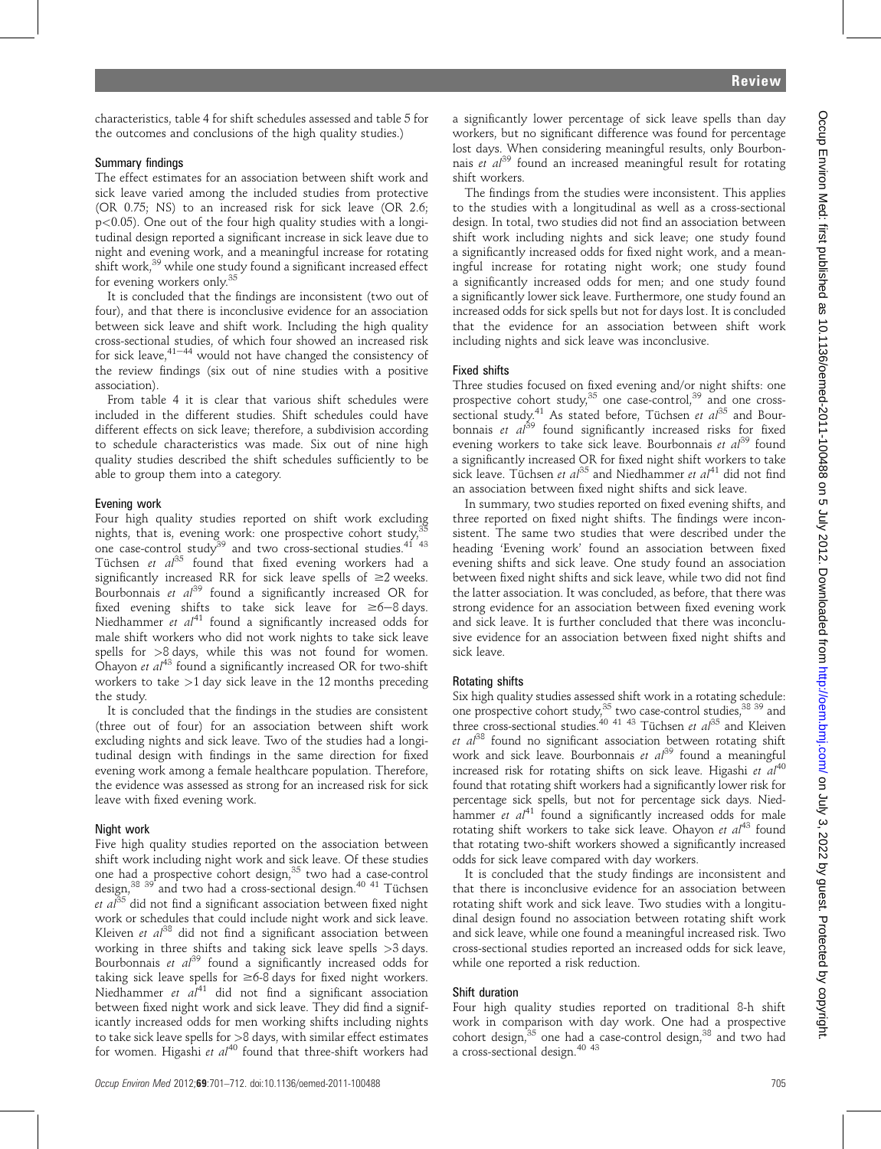characteristics, table 4 for shift schedules assessed and table 5 for the outcomes and conclusions of the high quality studies.)

### Summary findings

The effect estimates for an association between shift work and sick leave varied among the included studies from protective (OR 0.75; NS) to an increased risk for sick leave (OR 2.6; p<0.05). One out of the four high quality studies with a longitudinal design reported a significant increase in sick leave due to night and evening work, and a meaningful increase for rotating shift work,<sup>39</sup> while one study found a significant increased effect for evening workers only.<sup>35</sup>

It is concluded that the findings are inconsistent (two out of four), and that there is inconclusive evidence for an association between sick leave and shift work. Including the high quality cross-sectional studies, of which four showed an increased risk for sick leave,  $41-44$  would not have changed the consistency of the review findings (six out of nine studies with a positive association).

From table 4 it is clear that various shift schedules were included in the different studies. Shift schedules could have different effects on sick leave; therefore, a subdivision according to schedule characteristics was made. Six out of nine high quality studies described the shift schedules sufficiently to be able to group them into a category.

### Evening work

Four high quality studies reported on shift work excluding nights, that is, evening work: one prospective cohort study,<sup>35</sup> one case-control study<sup>39</sup> and two cross-sectional studies.<sup>41</sup><sup>43</sup> Tüchsen et  $a l^{35}$  found that fixed evening workers had a significantly increased RR for sick leave spells of  $\geq$  weeks. Bourbonnais et  $a^{39}$  found a significantly increased OR for fixed evening shifts to take sick leave for  $\geq 6-8$  days. Niedhammer et  $al^{41}$  found a significantly increased odds for male shift workers who did not work nights to take sick leave spells for >8 days, while this was not found for women. Ohayon et  $aI^{43}$  found a significantly increased OR for two-shift workers to take >1 day sick leave in the 12 months preceding the study.

It is concluded that the findings in the studies are consistent (three out of four) for an association between shift work excluding nights and sick leave. Two of the studies had a longitudinal design with findings in the same direction for fixed evening work among a female healthcare population. Therefore, the evidence was assessed as strong for an increased risk for sick leave with fixed evening work.

### Night work

Five high quality studies reported on the association between shift work including night work and sick leave. Of these studies one had a prospective cohort design,<sup>35</sup> two had a case-control design,<sup>38 39</sup> and two had a cross-sectional design.<sup>40 41</sup> Tüchsen et  $a^{35}$  did not find a significant association between fixed night work or schedules that could include night work and sick leave. Kleiven et  $aI^{38}$  did not find a significant association between working in three shifts and taking sick leave spells >3 days. Bourbonnais et  $al^{39}$  found a significantly increased odds for taking sick leave spells for  $\geq 6$ -8 days for fixed night workers. Niedhammer et  $aI^{41}$  did not find a significant association between fixed night work and sick leave. They did find a significantly increased odds for men working shifts including nights to take sick leave spells for >8 days, with similar effect estimates for women. Higashi et  $aI^{40}$  found that three-shift workers had

a significantly lower percentage of sick leave spells than day workers, but no significant difference was found for percentage lost days. When considering meaningful results, only Bourbonnais et  $a l^{39}$  found an increased meaningful result for rotating shift workers.

The findings from the studies were inconsistent. This applies to the studies with a longitudinal as well as a cross-sectional design. In total, two studies did not find an association between shift work including nights and sick leave; one study found a significantly increased odds for fixed night work, and a meaningful increase for rotating night work; one study found a significantly increased odds for men; and one study found a significantly lower sick leave. Furthermore, one study found an increased odds for sick spells but not for days lost. It is concluded that the evidence for an association between shift work including nights and sick leave was inconclusive.

### Fixed shifts

Three studies focused on fixed evening and/or night shifts: one prospective cohort study, $35$  one case-control, $39$  and one crosssectional study.<sup>41</sup> As stated before, Tüchsen et  $al^{35}$  and Bourbonnais et  $al^{39}$  found significantly increased risks for fixed evening workers to take sick leave. Bourbonnais et  $al^{39}$  found a significantly increased OR for fixed night shift workers to take sick leave. Tüchsen et  $a^{35}$  and Niedhammer et  $a^{41}$  did not find an association between fixed night shifts and sick leave.

In summary, two studies reported on fixed evening shifts, and three reported on fixed night shifts. The findings were inconsistent. The same two studies that were described under the heading 'Evening work' found an association between fixed evening shifts and sick leave. One study found an association between fixed night shifts and sick leave, while two did not find the latter association. It was concluded, as before, that there was strong evidence for an association between fixed evening work and sick leave. It is further concluded that there was inconclusive evidence for an association between fixed night shifts and sick leave.

### Rotating shifts

Six high quality studies assessed shift work in a rotating schedule: one prospective cohort study,<sup>35</sup> two case-control studies,<sup>38 39</sup> and three cross-sectional studies.<sup>40 41 43</sup> Tüchsen et  $al^{35}$  and Kleiven et  $al^{38}$  found no significant association between rotating shift work and sick leave. Bourbonnais et  $a^{39}$  found a meaningful increased risk for rotating shifts on sick leave. Higashi et  $aI^{40}$ found that rotating shift workers had a significantly lower risk for percentage sick spells, but not for percentage sick days. Niedhammer et  $aI^{41}$  found a significantly increased odds for male rotating shift workers to take sick leave. Ohayon et  $al^{43}$  found that rotating two-shift workers showed a significantly increased odds for sick leave compared with day workers.

It is concluded that the study findings are inconsistent and that there is inconclusive evidence for an association between rotating shift work and sick leave. Two studies with a longitudinal design found no association between rotating shift work and sick leave, while one found a meaningful increased risk. Two cross-sectional studies reported an increased odds for sick leave, while one reported a risk reduction.

### Shift duration

Four high quality studies reported on traditional 8-h shift work in comparison with day work. One had a prospective cohort design,<sup>35</sup> one had a case-control design,<sup>38</sup> and two had a cross-sectional design.<sup>40 43</sup>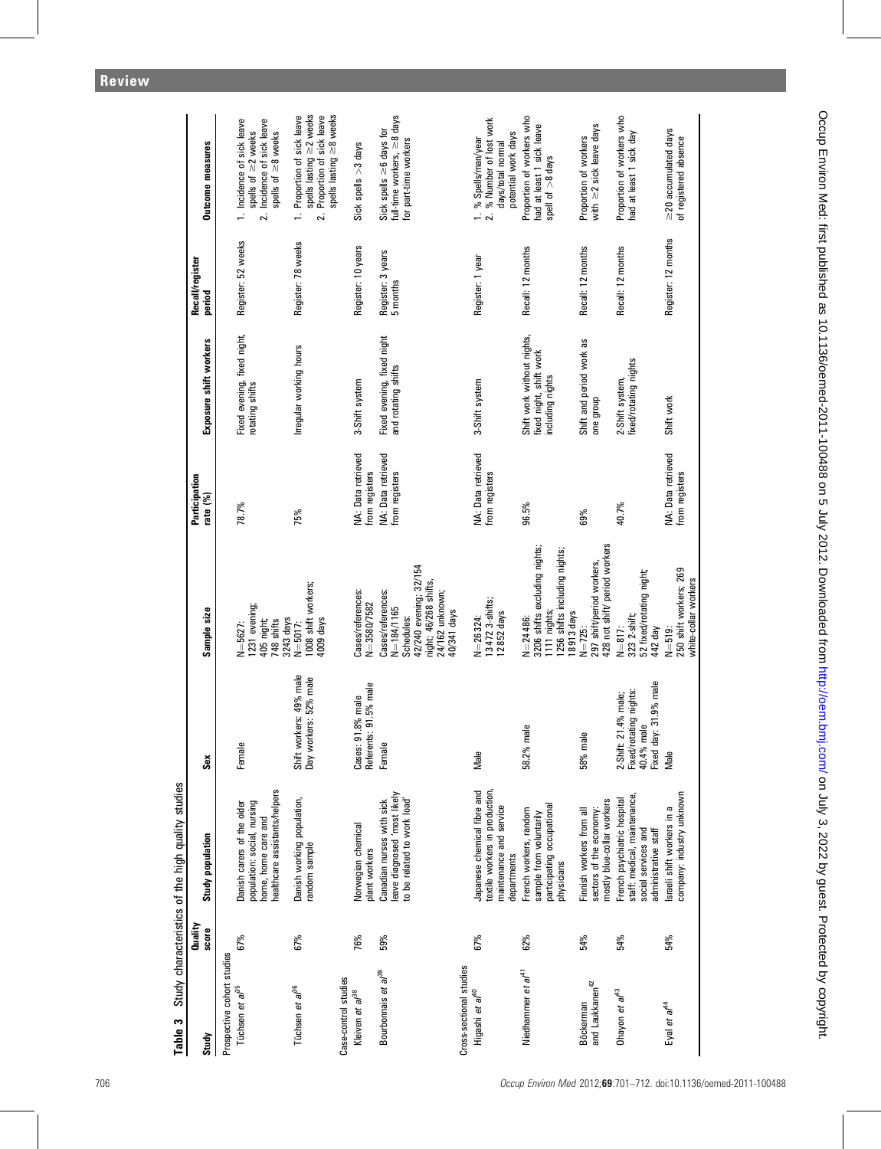| Study                                    | Quality<br>score | Study population                                                                                                   | ŠêX                                                                                      | Sample size                                                                                                                            | Participation<br>rate (%)            | Exposure shift workers                                                    | Recall/register<br>period     | Outcome measures                                                                                                                          |
|------------------------------------------|------------------|--------------------------------------------------------------------------------------------------------------------|------------------------------------------------------------------------------------------|----------------------------------------------------------------------------------------------------------------------------------------|--------------------------------------|---------------------------------------------------------------------------|-------------------------------|-------------------------------------------------------------------------------------------------------------------------------------------|
| Prospective cohort studies               |                  |                                                                                                                    |                                                                                          |                                                                                                                                        |                                      |                                                                           |                               |                                                                                                                                           |
| Tüchsen et al <sup>35</sup>              | 67%              | nealth care assistants/helpers<br>population: social, nursing<br>Danish carers of the older<br>home, home care and | Female                                                                                   | 1231 evening;<br>3243 days<br>405 night;<br>748 shifts<br>$N = 5627$ :                                                                 | 78.7%                                | Fixed evening, fixed night,<br>rotating shifts                            | Register: 52 weeks            | 1. Incidence of sick leave<br>Incidence of sick leave<br>spells of ≥2 weeks<br>spells of ≥8 weeks<br>$\overline{\mathbf{r}}$              |
| Tüchsen et al <sup>36</sup>              | 67%              | Danish working population,<br>random sample                                                                        | Shift workers: 49% male<br>Day workers: 52% male                                         | 1008 shift workers;<br>4009 days<br>$N = 5017$ :                                                                                       | 75%                                  | Irregular working hours                                                   | Register: 78 weeks            | spells lasting $\geq$ 2 weeks<br>spells lasting $\geq 8$ weeks<br>1. Proportion of sick leave<br>Proportion of sick leave<br>$\mathbf{a}$ |
| Case-control studies                     |                  |                                                                                                                    |                                                                                          |                                                                                                                                        |                                      |                                                                           |                               |                                                                                                                                           |
| Kleiven et al <sup>38</sup>              | 76%              | Norwegian chemical<br>plant workers                                                                                | Referents: 91.5% male<br>Cases: 91.8% male                                               | Cases/references:<br>$N = 3580/7582$                                                                                                   | VA: Data retrieved<br>from registers | 3-Shift system                                                            | Register: 10 years            | Sick spells >3 days                                                                                                                       |
| Bourbonnais et al <sup>39</sup>          | 59%              | leave diagnosed 'most likely<br>to be related to work load'<br>Canadian nurses with sick                           | Female                                                                                   | 42/240 evening; 32/154<br>night; 46/268 shifts,<br>Cases/references:<br>24/162 unknown;<br>$N = 184/1165$<br>40/341 days<br>Schedules: | NA: Data retrieved<br>from registers | Fixed evening, fixed night<br>and rotating shifts                         | Register: 3 years<br>5 months | full-time workers, $\geq$ 8 days<br>Sick spells $\geq$ 6 days for<br>for part-time workers                                                |
| Cross-sectional studies                  |                  |                                                                                                                    |                                                                                          |                                                                                                                                        |                                      |                                                                           |                               |                                                                                                                                           |
| Higashi et al <sup>40</sup>              | 67%              | textile workers in production,<br>Japanese chemical fibre and<br>maintenance and service<br>departments            | Male                                                                                     | 13472 3-shifts;<br>12852 days<br>$N = 26324$ :                                                                                         | NA: Data retrieved<br>from registers | 3-Shift system                                                            | Register: 1 year              | % Spells/man/year<br>% Number of lost work<br>potential work days<br>days/total normal<br>$\frac{1}{2}$ $\alpha$                          |
| Niedhammer et al <sup>41</sup>           | 62%              | participating occupational<br>French workers, random<br>sample from voluntarily<br>physicians                      | 58.2% male                                                                               | 3206 shifts excluding nights;<br>1256 shifts including nights;<br>1111 nights;<br>8913 days<br>$N = 24486$ :                           | 96.5%                                | Shift work without nights,<br>fixed night, shift work<br>including nights | Recall: 12 months             | Proportion of workers who<br>had at least 1 sick leave<br>spell of >8 days                                                                |
| and Laukkanen <sup>42</sup><br>Böckerman | 54%              | mostly blue-collar workers<br>sectors of the economy:<br>Finnish workers from all                                  | 58% male                                                                                 | 428 not shift/ period workers<br>297 shift/period workers,<br>$N = 725$ :                                                              | 69%                                  | Shift and period work as<br>one group                                     | Recall: 12 months             | with $\geq$ 2 sick leave days<br>Proportion of workers                                                                                    |
| Ohayon et al <sup>43</sup>               | 54%              | staff: medical, maintenance,<br>French psychiatric hospital<br>administrative staff<br>social services and         | 40.4% male<br>Fixed day: 31.9% male<br>Fixed/rotating nights:<br>male:<br>2-Shift: 21.4% | 52 fixed/rotating night;<br>323 2-shift;<br>442 day<br>$N = 817$ :                                                                     | 40.7%                                | fixed/rotating nights<br>2-Shift system,                                  | Recall: 12 months             | Proportion of workers who<br>had at least 1 sick day                                                                                      |
| Eyal et al <sup>44</sup>                 | 54%              | company: industry unknown<br>sraeli shift workers in a                                                             | Male                                                                                     | 250 shift workers; 269<br>white-collar workers<br>$N = 519$                                                                            | NA: Data retrieved<br>from registers | Shift work                                                                | Register: 12 months           | $\geq$ 20 accumulated days<br>of registered absence                                                                                       |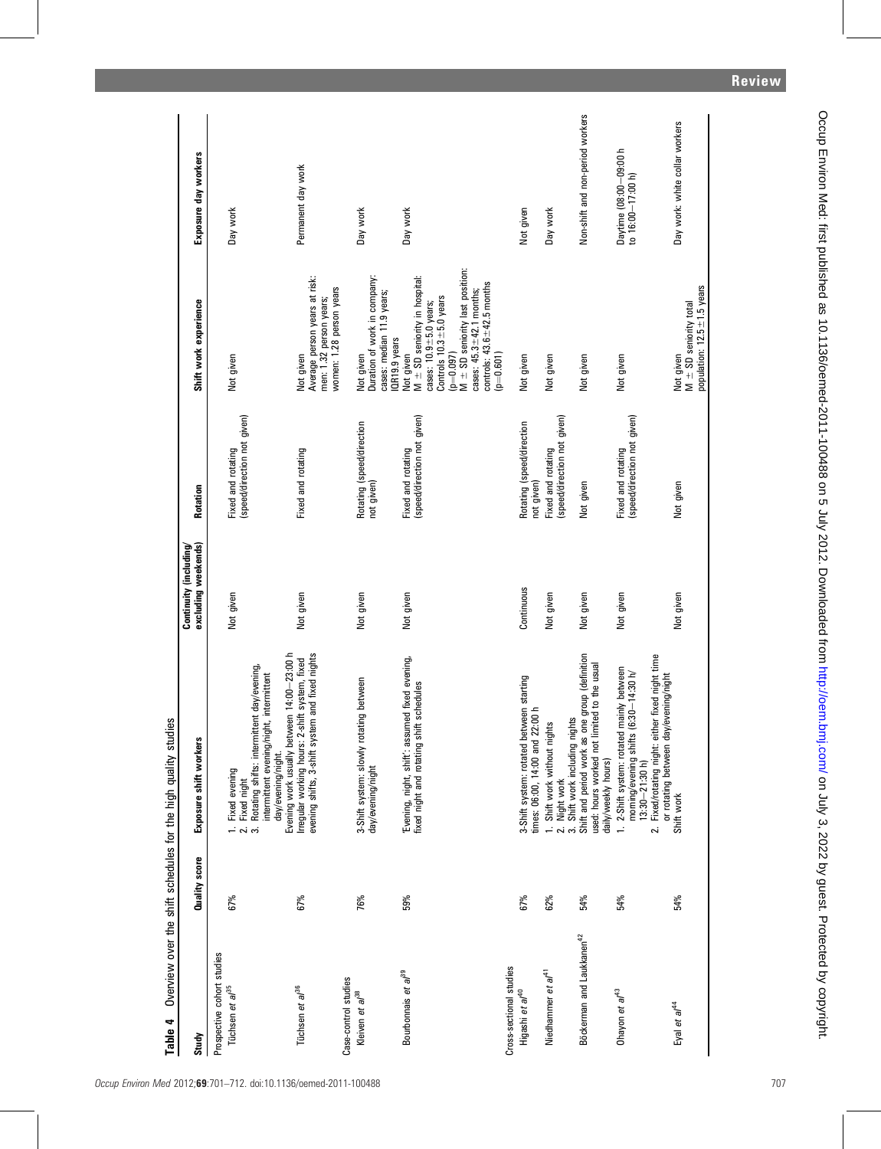| 4<br>Table                                                |               | Overview over the shift schedules for the high quality studies                                                                                                                                                            |                                               |                                                   |                                                                                                                                                                                                                                         |                                             |
|-----------------------------------------------------------|---------------|---------------------------------------------------------------------------------------------------------------------------------------------------------------------------------------------------------------------------|-----------------------------------------------|---------------------------------------------------|-----------------------------------------------------------------------------------------------------------------------------------------------------------------------------------------------------------------------------------------|---------------------------------------------|
| Study                                                     | Quality score | Exposure shift workers                                                                                                                                                                                                    | excluding weekends)<br>Continuity (including/ | <b>Rotation</b>                                   | Shift work experience                                                                                                                                                                                                                   | Exposure day workers                        |
| Prospective cohort studies<br>Tüchsen et al <sup>35</sup> | 67%           | Fixed evening<br>Fixed night<br>$\frac{1}{2}$ $\alpha$ $\alpha$                                                                                                                                                           | Not given                                     | (speed/direction not given)<br>Fixed and rotating | Not given                                                                                                                                                                                                                               | Day work                                    |
|                                                           |               | Evening work usually between 14:00-23:00 h<br>day/evening,<br>intermittent evening/night, intermittent<br>Rotating shifts: intermittent<br>day/evening/night.                                                             |                                               |                                                   |                                                                                                                                                                                                                                         |                                             |
| Tüchsen et al <sup>36</sup>                               | 67%           | Irregular working hours: 2-shift system, fixed<br>evening shifts, 3-shift system and fixed nights                                                                                                                         | Not given                                     | Fixed and rotating                                | Average person years at risk:<br>men: 1.32 person years;<br>Not given                                                                                                                                                                   | Permanent day work                          |
| Case-control studies                                      |               |                                                                                                                                                                                                                           |                                               |                                                   | women: 1.28 person years                                                                                                                                                                                                                |                                             |
| Kleiven et al <sup>38</sup>                               | 76%           | between<br>3-Shift system: slowly rotating<br>day/evening/night                                                                                                                                                           | Not given                                     | Rotating (speed/direction<br>not given)           | Duration of work in company:<br>cases: median 11.9 years;<br>IQR19.9 years<br>Not given                                                                                                                                                 | Day work                                    |
| Bourbonnais et al <sup>39</sup>                           | 59%           | fixed evening,<br>fixed night and rotating shift schedules<br>Evening, night, shift': assumed                                                                                                                             | Not given                                     | (speed/direction not given)<br>Fixed and rotating | $M \pm SD$ seniority last position:<br>$M \pm SD$ seniority in hospital:<br>controls: $43.6 \pm 42.5$ months<br>cases: $45.3 \pm 42.1$ months;<br>Controls $10.3 + 5.0$ years<br>cases: $10.9 + 5.0$ years;<br>$(p=0.097)$<br>Not given | Day work                                    |
| Cross-sectional studies                                   |               |                                                                                                                                                                                                                           |                                               |                                                   | $(p=0.601)$                                                                                                                                                                                                                             |                                             |
| Higashi et al <sup>40</sup>                               | 67%           | 3-Shift system: rotated between starting<br>times: 06:00, 14:00 and 22:00 h                                                                                                                                               | Continuous                                    | Rotating (speed/direction<br>not given)           | Not given                                                                                                                                                                                                                               | Not given                                   |
| Niedhammer et al <sup>41</sup>                            | 62%           | 3. Shift work including nights<br>1. Shift work without nights<br>Night work<br>$\mathbf{z}$                                                                                                                              | Not given                                     | (speed/direction not given)<br>Fixed and rotating | Not given                                                                                                                                                                                                                               | Day work                                    |
| Böckerman and Laukkanen <sup>42</sup>                     | 54%           | Shift and period work as one group (definition<br>to the usual<br>used: hours worked not limited<br>daily/weekly hours)                                                                                                   | Not given                                     | Not given                                         | Not given                                                                                                                                                                                                                               | Non-shift and non-period workers            |
| Ohayon et al <sup>43</sup>                                | 54%           | Fixed/rotating night: either fixed night time<br>1. 2-Shift system: rotated mainly between<br>$0 - 14:30 h/$<br>or rotating between day/evening/night<br>morning/evening shifts (6:3<br>$13:30 - 21:30 h$<br>$\mathbf{a}$ | Not given                                     | (speed/direction not given)<br>Fixed and rotating | Not given                                                                                                                                                                                                                               | Daytime (08:00—09:00 h<br>to 16:00—17:00 h) |
| Eyal <i>et al</i> <sup>44</sup>                           | 54%           | Shift work                                                                                                                                                                                                                | Not given                                     | Not given                                         | population: 12.5 ±1.5 years<br>$M \pm SD$ seniority total<br>Not given                                                                                                                                                                  | Day work: white collar workers              |
|                                                           |               |                                                                                                                                                                                                                           |                                               |                                                   |                                                                                                                                                                                                                                         |                                             |

Occup Environ Med: first published as 10.1118/oemed-2011-100488 on 5 July 2012. Downloaded from http://oem.bmj.com/ on July 3, 2022 by guest. Protected by copyright. Occup Environ Med: first published as 10.1136/oemed-2011-100488 on 5 July 2012. Downloaded from <del>http:</del>//oem.bmj.com/ on July 3, 2022 by guest. Protected by copyright.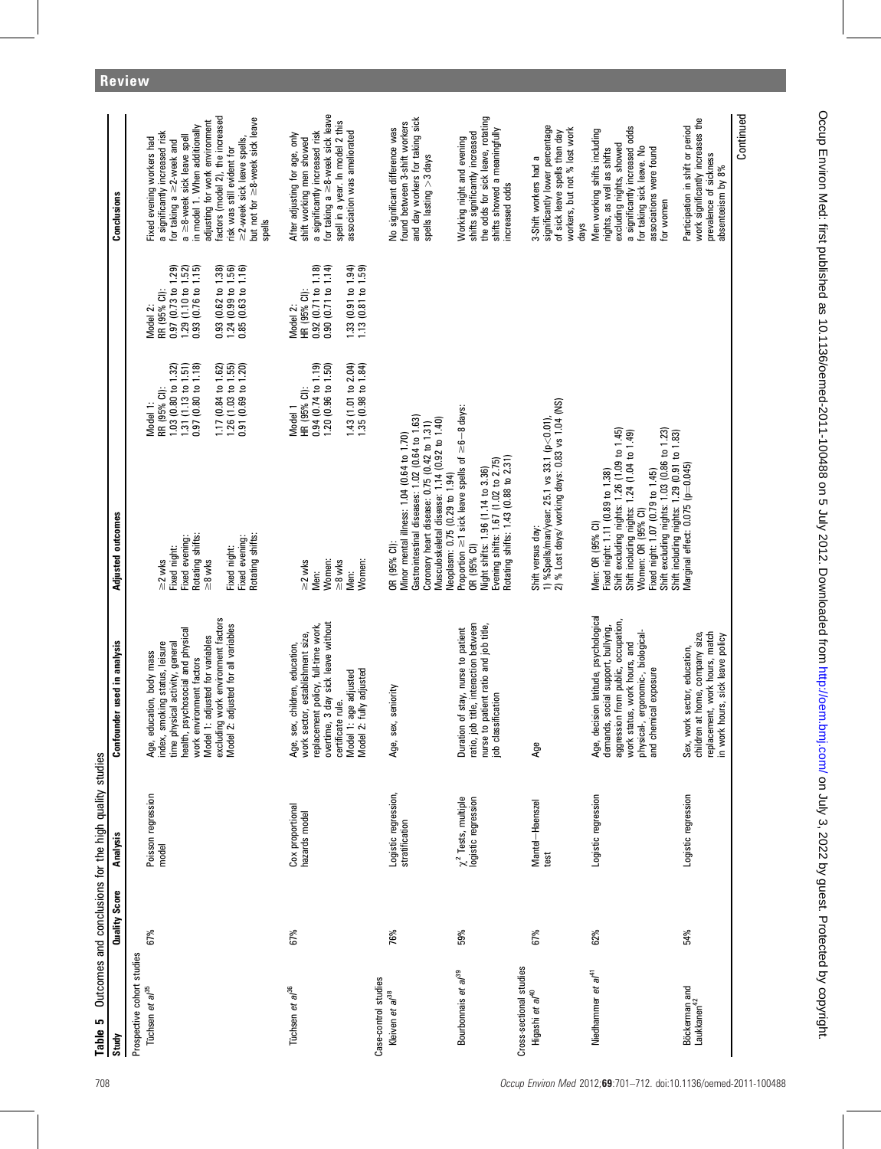| Table 5                                                   |               | Outcomes and conclusions for the high quality studies |                                                                                                                                                                                                                                                                                 |                                                                                                                                                                                                                                                             |                                                                                                                                                                                            |                                                                                                                                                                                                                     |                                                                                                                                                                                                                                                                                                                                                           |
|-----------------------------------------------------------|---------------|-------------------------------------------------------|---------------------------------------------------------------------------------------------------------------------------------------------------------------------------------------------------------------------------------------------------------------------------------|-------------------------------------------------------------------------------------------------------------------------------------------------------------------------------------------------------------------------------------------------------------|--------------------------------------------------------------------------------------------------------------------------------------------------------------------------------------------|---------------------------------------------------------------------------------------------------------------------------------------------------------------------------------------------------------------------|-----------------------------------------------------------------------------------------------------------------------------------------------------------------------------------------------------------------------------------------------------------------------------------------------------------------------------------------------------------|
| Study                                                     | Quality Score | Analysis                                              | used in analysis<br>Confounder                                                                                                                                                                                                                                                  | Adjusted outcomes                                                                                                                                                                                                                                           |                                                                                                                                                                                            |                                                                                                                                                                                                                     | Conclusions                                                                                                                                                                                                                                                                                                                                               |
| Prospective cohort studies<br>Tüchsen et al <sup>35</sup> | 67%           | Poisson regression<br>model                           | excluding work environment factors<br>Model 2: adjusted for all variables<br>health, psychosocial and physical<br>Model 1: adjusted for variables<br>time physical activity, general<br>Age, education, body mass<br>index, smoking status, leisure<br>work environment factors | Rotating shifts:<br>Rotating shifts:<br>Fixed evening:<br>Fixed evening:<br>Fixed night:<br>Fixed night:<br>$\geq$ 2 wks<br>$\geq 8$ wks                                                                                                                    | $0.91$ (0.69 to 1.20)<br>$1.26(1.03 \text{ to } 1.55)$<br>1.03 (0.80 to 1.32)<br>1.31(1.13 to 1.51)<br>$0.97(0.80 \text{ to } 1.18)$<br>1.17 (0.84 to $1.62$ )<br>RR (95% CI):<br>Model 1: | $1.29(1.10 \text{ to } 1.52)$<br>$1.24(0.99 \text{ to } 1.56)$<br>0.85(0.63 to 1.16)<br>$0.93(0.76 \text{ to } 1.15)$<br>$0.93(0.62 \text{ to } 1.38)$<br>$0.97(0.73 \text{ to } 1.29)$<br>RR (95% CI):<br>Model 2: | factors (model 2), the increased<br>but not for $\geq 8$ -week sick leave<br>adjusting for work environment<br>in model 1. When additionally<br>a significantly increased risk<br>$a \geq 8$ -week sick leave spell<br>=2-week sick leave spells,<br>Fixed evening workers had<br>for taking $a \geq 2$ -week and<br>risk was still evident for<br>spells |
| Tüchsen et al <sup>36</sup>                               | 67%           | Cox proportional<br>hazards model                     | overtime, 3 day sick leave without<br>replacement policy, full-time work,<br>work sector, establishment size,<br>Age, sex, children, education,<br>Model 1: age adjusted<br>Model 2: fully adjusted<br>certificate rule.                                                        | $\geq$ wks<br>Women:<br>$\geq 8$ wks<br>Women:<br>Men:<br>Men:                                                                                                                                                                                              | 2.04)<br>1.35 (0.98 to $1.84$ )<br>$0.94$ (0.74 to 1.19)<br>1.20 $(0.96 \text{ to } 1.50)$<br>1.43(1.01 to<br>HR (95% CI):<br>Model 1                                                      | 1.33 $(0.91 \text{ to } 1.94)$<br>1.13 (0.81 to 1.59)<br>$0.92(0.71 \text{ to } 1.18)$<br>$0.90(0.71 \text{ to } 1.14)$<br>HR (95% CI):<br>Model 2:                                                                 | for taking a $\geq$ 8-week sick leave<br>spell in a year. In model 2 this<br>association was ameliorated<br>a significantly increased risk<br>After adjusting for age, only<br>shift working men showed                                                                                                                                                   |
| Case-control studies<br>Kleiven et al <sup>38</sup>       | 76%           | Logistic regression,<br>stratification                | Age, sex, seniority                                                                                                                                                                                                                                                             | Gastrointestinal diseases: 1.02 (0.64 to 1.63)<br>Musculoskeletal disease: 1.14 (0.92 to 1.40)<br>Coronary heart disease: 0.75 (0.42 to 1.31)<br>Minor mental illness: 1.04 (0.64 to 1.70)<br>Neoplasm: 0.75 (0.29 to 1.94)<br>OR (95% CI):                 |                                                                                                                                                                                            |                                                                                                                                                                                                                     | and day workers for taking sick<br>found between 3-shift workers<br>No significant difference was<br>spells lasting $>$ 3 days                                                                                                                                                                                                                            |
| Bourbonnais et al <sup>39</sup>                           | 59%           | logistic regression<br>$\chi^2$ Tests, multiple       | ratio, job title, interaction between<br>nurse to patient ratio and job title,<br>stay, nurse to patient<br>job classification<br>Duration of                                                                                                                                   | Proportion $\geq$ 1 sick leave spells of $\geq$ 6-8 days:<br>Rotating shifts: 1.43 (0.88 to 2.31)<br>Evening shifts: 1.67 (1.02 to 2.75)<br>Night shifts: 1.96 (1.14 to 3.36)<br>OR (95% CI)                                                                |                                                                                                                                                                                            |                                                                                                                                                                                                                     | the odds for sick leave, rotating<br>shifts showed a meaningfully<br>shifts significantly increased<br>Working night and evening<br>increased odds                                                                                                                                                                                                        |
| Cross-sectional studies<br>Higashi et al <sup>40</sup>    | 67%           | Mantel-Haenszel<br>test                               | Age                                                                                                                                                                                                                                                                             | 1) %Spells/man/year: 25.1 vs 33.1 (p<0.01),<br>2) % Lost days/ working days: 0.83 vs 1.04 (NS)<br>Shift versus day:                                                                                                                                         |                                                                                                                                                                                            |                                                                                                                                                                                                                     | significantly lower percentage<br>workers, but not % lost work<br>of sick leave spells than day<br>3-Shift workers had a<br>days                                                                                                                                                                                                                          |
| Niedhammer et al <sup>41</sup>                            | 62%           | Logistic regression                                   | Age, decision latitude, psychological<br>aggression from public, occupation,<br>demands, social support, bullying,<br>physical-, ergonomic-, biological-<br>and chemical exposure<br>work status, work hours, and                                                               | Shift excluding nights: 1.26 (1.09 to 1.45)<br>Shift excluding nights: 1.03 (0.86 to 1.23)<br>Shift including nights: 1.24 (1.04 to 1.49)<br>Fixed night: 1.11 (0.89 to 1.38)<br>Fixed night: 1.07 (0.79 to 1.45)<br>Women: OR (95% CI)<br>Men: OR (95% CI) |                                                                                                                                                                                            |                                                                                                                                                                                                                     | a significantly increased odds<br>Men working shifts including<br>excluding nights, showed<br>for taking sick leave. No<br>associations were found<br>nights, as well as shifts<br>for women                                                                                                                                                              |
| Böckerman and<br>Laukkanen <sup>42</sup>                  | 54%           | Logistic regression                                   | replacement, work hours, match<br>in work hours, sick leave policy<br>home, company size,<br>Sex, work sector, education,<br>children at                                                                                                                                        | Shift including nights: 1.29 (0.91 to 1.83)<br>Marginal effect: 0.075 (p=0.045)                                                                                                                                                                             |                                                                                                                                                                                            |                                                                                                                                                                                                                     | Continued<br>work significantly increases the<br>Participation in shift or period<br>prevalence of sickness<br>absenteeism by 8%                                                                                                                                                                                                                          |
|                                                           |               |                                                       |                                                                                                                                                                                                                                                                                 |                                                                                                                                                                                                                                                             |                                                                                                                                                                                            |                                                                                                                                                                                                                     |                                                                                                                                                                                                                                                                                                                                                           |

Occup Environ Med: first published as 10.1136/oemed-2011-100488 on 5 July 2012. Downloaded from <del>http:</del>//oem.bmj.com/ on July 3, 2022 by guest. Protected by copyright.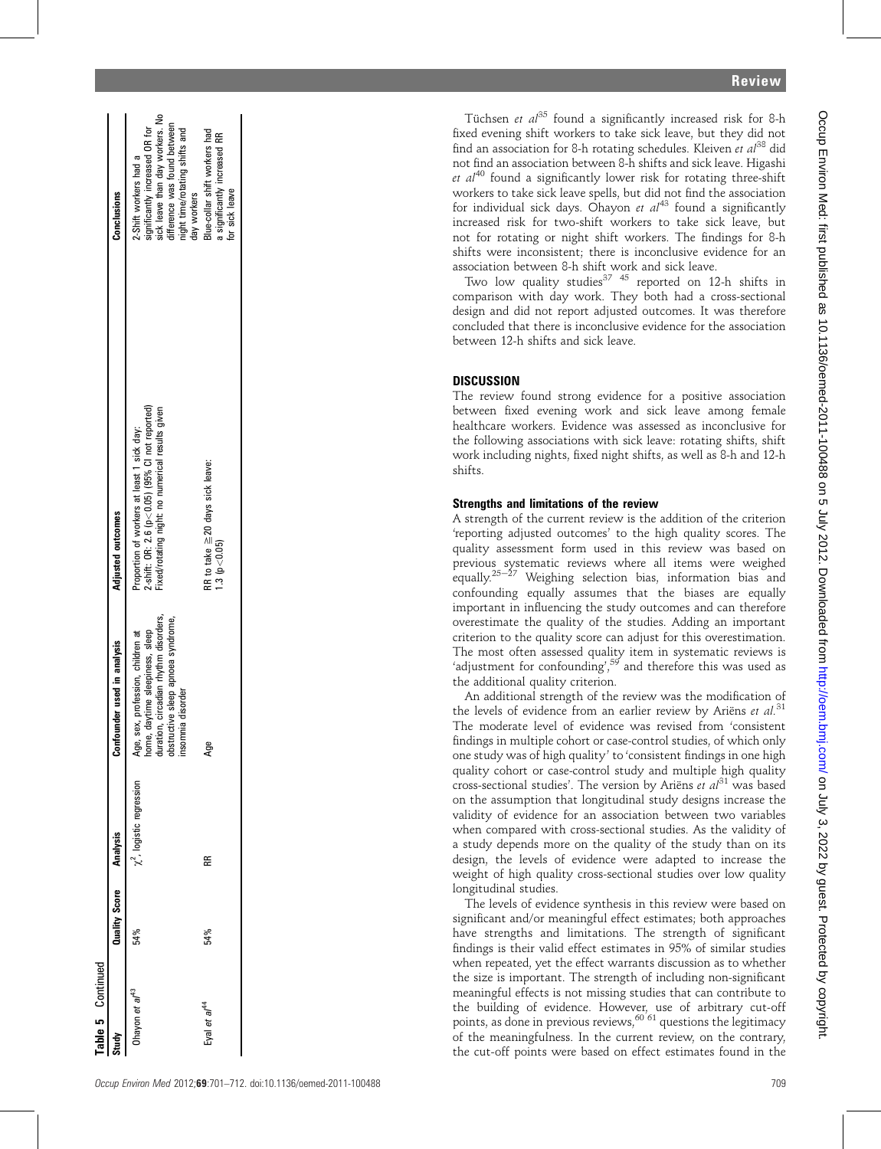|                                 | Quality Score Analysis |                                | Confounder used in analysis                                                                                                                                                 | <b>Adjusted outcomes</b>                                                                                                                                | Conclusions                                                                                                                                                                 |
|---------------------------------|------------------------|--------------------------------|-----------------------------------------------------------------------------------------------------------------------------------------------------------------------------|---------------------------------------------------------------------------------------------------------------------------------------------------------|-----------------------------------------------------------------------------------------------------------------------------------------------------------------------------|
| )hayon <i>et al</i> "           | 54%                    | $\chi^2$ , logistic regression | Age, sex, profession, children at<br>home, daytime sleepiness, sleep<br>duration, circadian rhythm disorders,<br>obstructive sleep apnoea syndrome,<br>sorder<br>nsomnia di | 2-shift: OR: 2.6 ( $p < 0.05$ ) (95% CI not reported)<br>Fixed/rotating night: no numerical results given<br>Proportion of workers at least 1 sick day: | sick leave than day workers. No<br>difference was found between<br>significantly increased OR for<br>night time/rotating shifts and<br>day workers<br>2-Shift workers had a |
| Eyal <i>et al'<sup>44</sup></i> | 54%                    | 똕                              | Age                                                                                                                                                                         | RR to take $\geq$ 20 days sick leave:<br>1.3(p<0.05)                                                                                                    | Blue-collar shift workers had<br>a significantly increased RR<br>for sick leave                                                                                             |

Tüchsen et  $al^{35}$  found a significantly increased risk for 8-h fixed evening shift workers to take sick leave, but they did not find an association for 8-h rotating schedules. Kleiven et  $al^{38}$  did not find an association between 8-h shifts and sick leave. Higashi et  $aI^{40}$  found a significantly lower risk for rotating three-shift workers to take sick leave spells, but did not find the association for individual sick days. Ohayon et  $a^{14}$  found a significantly increased risk for two-shift workers to take sick leave, but not for rotating or night shift workers. The findings for 8-h shifts were inconsistent; there is inconclusive evidence for an association between 8-h shift work and sick leave.

Two low quality studies $37$   $45$  reported on 12-h shifts in comparison with day work. They both had a cross-sectional design and did not report adjusted outcomes. It was therefore concluded that there is inconclusive evidence for the association between 12-h shifts and sick leave.

### **DISCUSSION**

The review found strong evidence for a positive association between fixed evening work and sick leave among female healthcare workers. Evidence was assessed as inconclusive for the following associations with sick leave: rotating shifts, shift work including nights, fixed night shifts, as well as 8-h and 12-h shifts.

### Strengths and limitations of the review

A strength of the current review is the addition of the criterion 'reporting adjusted outcomes' to the high quality scores. The quality assessment form used in this review was based on previous systematic reviews where all items were weighed equally.<sup>25-27</sup> Weighing selection bias, information bias and confounding equally assumes that the biases are equally important in influencing the study outcomes and can therefore overestimate the quality of the studies. Adding an important criterion to the quality score can adjust for this overestimation. The most often assessed quality item in systematic reviews is 'adjustment for confounding',  $59$  and therefore this was used as the additional quality criterion.

An additional strength of the review was the modification of the levels of evidence from an earlier review by Ariëns et  $al$ .<sup>31</sup> The moderate level of evidence was revised from 'consistent findings in multiple cohort or case-control studies, of which only one study was of high quality' to 'consistent findings in one high quality cohort or case-control study and multiple high quality cross-sectional studies'. The version by Ariëns et  $al^{31}$  was based on the assumption that longitudinal study designs increase the validity of evidence for an association between two variables when compared with cross-sectional studies. As the validity of a study depends more on the quality of the study than on its design, the levels of evidence were adapted to increase the weight of high quality cross-sectional studies over low quality longitudinal studies.

The levels of evidence synthesis in this review were based on significant and/or meaningful effect estimates; both approaches have strengths and limitations. The strength of significant findings is their valid effect estimates in 95% of similar studies when repeated, yet the effect warrants discussion as to whether the size is important. The strength of including non-significant meaningful effects is not missing studies that can contribute to the building of evidence. However, use of arbitrary cut-off points, as done in previous reviews,  $60\,61}$  questions the legitimacy of the meaningfulness. In the current review, on the contrary, the cut-off points were based on effect estimates found in the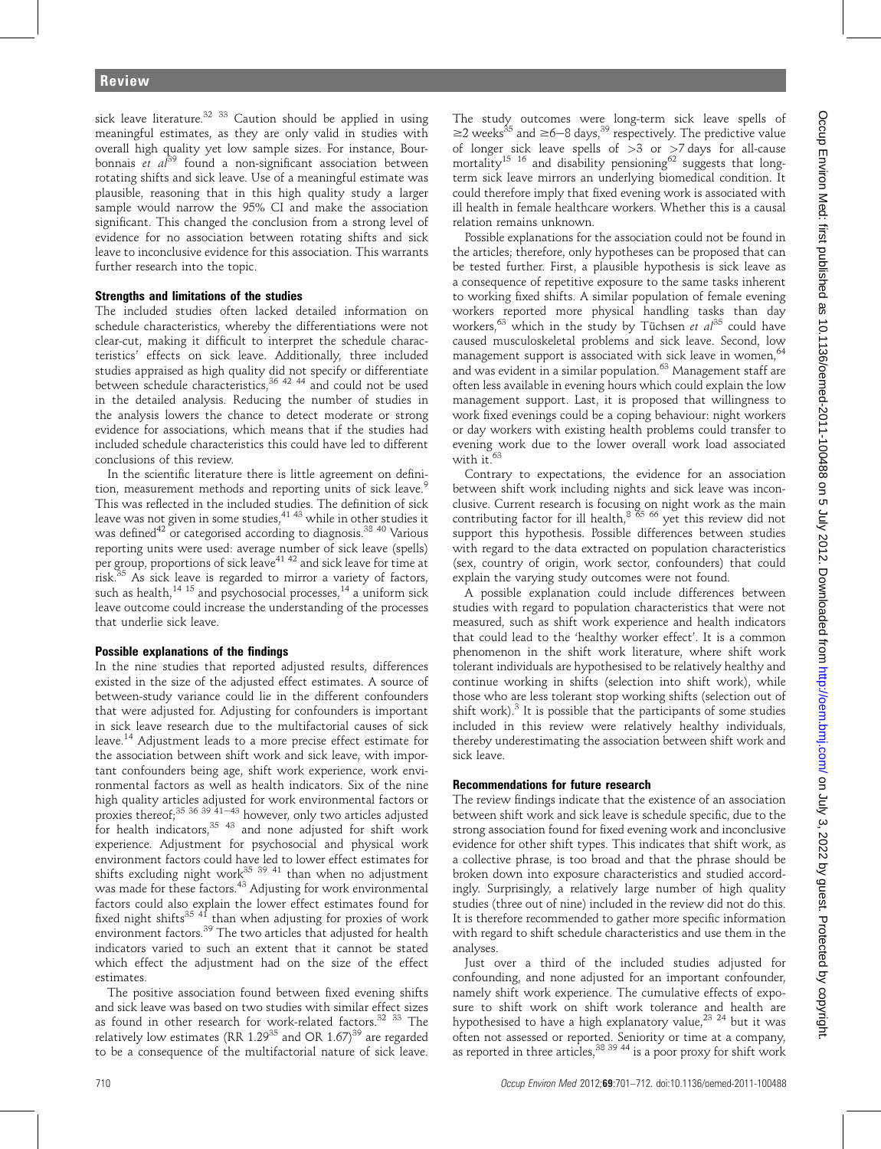sick leave literature. $32$   $33$  Caution should be applied in using meaningful estimates, as they are only valid in studies with overall high quality yet low sample sizes. For instance, Bourbonnais et  $a^{39}$  found a non-significant association between rotating shifts and sick leave. Use of a meaningful estimate was plausible, reasoning that in this high quality study a larger sample would narrow the 95% CI and make the association significant. This changed the conclusion from a strong level of evidence for no association between rotating shifts and sick leave to inconclusive evidence for this association. This warrants further research into the topic.

### Strengths and limitations of the studies

The included studies often lacked detailed information on schedule characteristics, whereby the differentiations were not clear-cut, making it difficult to interpret the schedule characteristics' effects on sick leave. Additionally, three included studies appraised as high quality did not specify or differentiate between schedule characteristics,<sup>36 42 44</sup> and could not be used in the detailed analysis. Reducing the number of studies in the analysis lowers the chance to detect moderate or strong evidence for associations, which means that if the studies had included schedule characteristics this could have led to different conclusions of this review.

In the scientific literature there is little agreement on definition, measurement methods and reporting units of sick leave.<sup>9</sup> This was reflected in the included studies. The definition of sick leave was not given in some studies, $^{41\ 43}$  while in other studies it was defined<sup>42</sup> or categorised according to diagnosis.<sup>38</sup> <sup>40</sup> Various reporting units were used: average number of sick leave (spells) per group, proportions of sick leave<sup>41 42</sup> and sick leave for time at risk.<sup>35</sup> As sick leave is regarded to mirror a variety of factors, such as health, $14^{15}$  and psychosocial processes, $14$  a uniform sick leave outcome could increase the understanding of the processes that underlie sick leave.

### Possible explanations of the findings

In the nine studies that reported adjusted results, differences existed in the size of the adjusted effect estimates. A source of between-study variance could lie in the different confounders that were adjusted for. Adjusting for confounders is important in sick leave research due to the multifactorial causes of sick leave.<sup>14</sup> Adjustment leads to a more precise effect estimate for the association between shift work and sick leave, with important confounders being age, shift work experience, work environmental factors as well as health indicators. Six of the nine high quality articles adjusted for work environmental factors or proxies thereof;<sup>35 36 39 41–43</sup> however, only two articles adjusted for health indicators,<sup>35</sup> <sup>43</sup> and none adjusted for shift work experience. Adjustment for psychosocial and physical work environment factors could have led to lower effect estimates for shifts excluding night work $35$   $39$   $41$  than when no adjustment was made for these factors.<sup>43</sup> Adjusting for work environmental factors could also explain the lower effect estimates found for fixed night shifts $35$  <sup>41</sup> than when adjusting for proxies of work environment factors.<sup>39</sup> The two articles that adjusted for health indicators varied to such an extent that it cannot be stated which effect the adjustment had on the size of the effect estimates.

The positive association found between fixed evening shifts and sick leave was based on two studies with similar effect sizes as found in other research for work-related factors.<sup>32</sup> <sup>33</sup> The relatively low estimates (RR  $1.29^{35}$  and OR  $1.67$ )<sup>39</sup> are regarded to be a consequence of the multifactorial nature of sick leave.

The study outcomes were long-term sick leave spells of  $\geq$  weeks<sup>35</sup> and  $\geq$ 6–8 days,<sup>39</sup> respectively. The predictive value of longer sick leave spells of  $>3$  or  $>7$  days for all-cause mortality<sup>15</sup> <sup>16</sup> and disability pensioning<sup>62</sup> suggests that longterm sick leave mirrors an underlying biomedical condition. It could therefore imply that fixed evening work is associated with ill health in female healthcare workers. Whether this is a causal relation remains unknown.

Possible explanations for the association could not be found in the articles; therefore, only hypotheses can be proposed that can be tested further. First, a plausible hypothesis is sick leave as a consequence of repetitive exposure to the same tasks inherent to working fixed shifts. A similar population of female evening workers reported more physical handling tasks than day workers,<sup>63</sup> which in the study by Tüchsen et  $a^{35}$  could have caused musculoskeletal problems and sick leave. Second, low management support is associated with sick leave in women, <sup>64</sup> and was evident in a similar population.<sup>63</sup> Management staff are often less available in evening hours which could explain the low management support. Last, it is proposed that willingness to work fixed evenings could be a coping behaviour: night workers or day workers with existing health problems could transfer to evening work due to the lower overall work load associated with  $it^{63}$ 

Contrary to expectations, the evidence for an association between shift work including nights and sick leave was inconclusive. Current research is focusing on night work as the main contributing factor for ill health, $8\,$ <sup>65 66</sup> yet this review did not support this hypothesis. Possible differences between studies with regard to the data extracted on population characteristics (sex, country of origin, work sector, confounders) that could explain the varying study outcomes were not found.

A possible explanation could include differences between studies with regard to population characteristics that were not measured, such as shift work experience and health indicators that could lead to the 'healthy worker effect'. It is a common phenomenon in the shift work literature, where shift work tolerant individuals are hypothesised to be relatively healthy and continue working in shifts (selection into shift work), while those who are less tolerant stop working shifts (selection out of shift work). $3$  It is possible that the participants of some studies included in this review were relatively healthy individuals, thereby underestimating the association between shift work and sick leave.

### Recommendations for future research

The review findings indicate that the existence of an association between shift work and sick leave is schedule specific, due to the strong association found for fixed evening work and inconclusive evidence for other shift types. This indicates that shift work, as a collective phrase, is too broad and that the phrase should be broken down into exposure characteristics and studied accordingly. Surprisingly, a relatively large number of high quality studies (three out of nine) included in the review did not do this. It is therefore recommended to gather more specific information with regard to shift schedule characteristics and use them in the analyses.

Just over a third of the included studies adjusted for confounding, and none adjusted for an important confounder, namely shift work experience. The cumulative effects of exposure to shift work on shift work tolerance and health are hypothesised to have a high explanatory value,<sup>23 24</sup> but it was often not assessed or reported. Seniority or time at a company, as reported in three articles,  $38\frac{39\frac{44}{9}}{15}$  is a poor proxy for shift work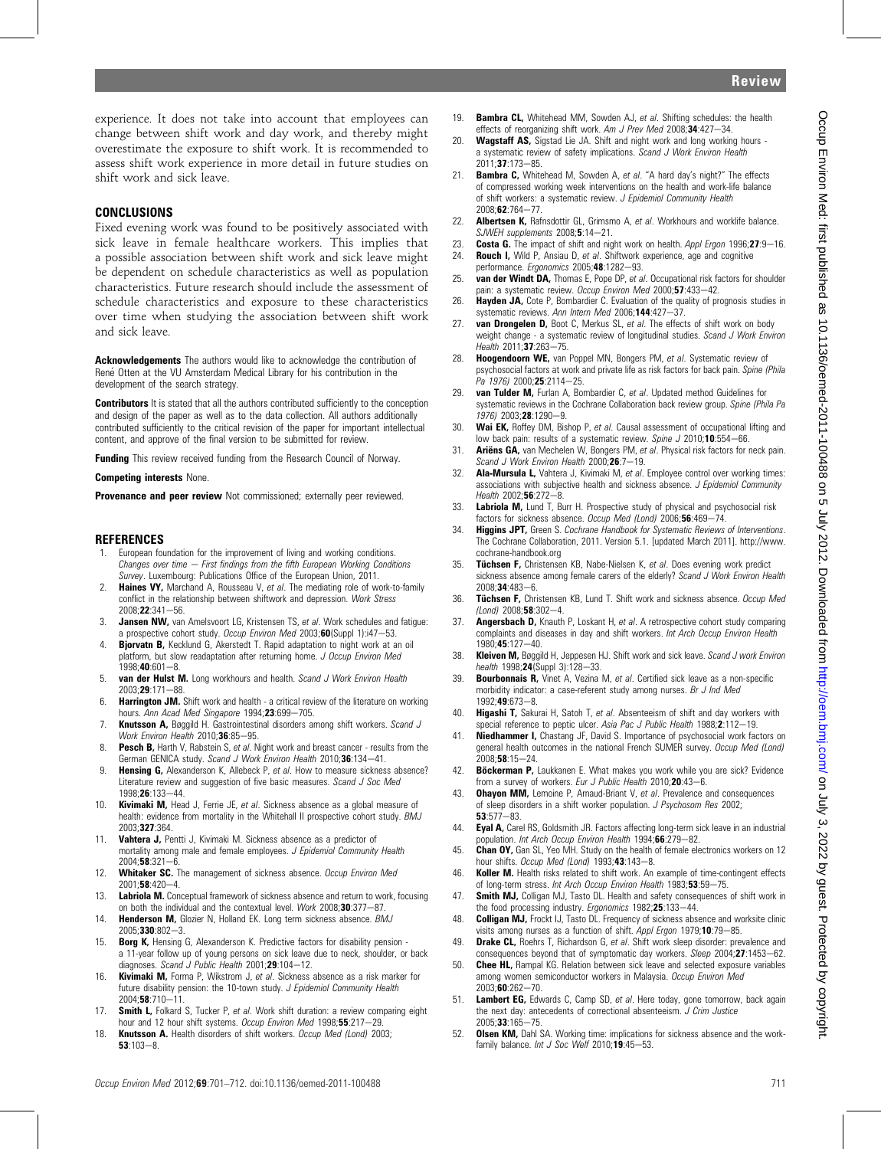experience. It does not take into account that employees can change between shift work and day work, and thereby might overestimate the exposure to shift work. It is recommended to assess shift work experience in more detail in future studies on shift work and sick leave.

### CONCLUSIONS

Fixed evening work was found to be positively associated with sick leave in female healthcare workers. This implies that a possible association between shift work and sick leave might be dependent on schedule characteristics as well as population characteristics. Future research should include the assessment of schedule characteristics and exposure to these characteristics over time when studying the association between shift work and sick leave.

**Acknowledgements** The authors would like to acknowledge the contribution of René Otten at the VU Amsterdam Medical Library for his contribution in the development of the search strategy.

**Contributors** It is stated that all the authors contributed sufficiently to the conception and design of the paper as well as to the data collection. All authors additionally contributed sufficiently to the critical revision of the paper for important intellectual content, and approve of the final version to be submitted for review.

**Funding** This review received funding from the Research Council of Norway.

Competing interests None.

Provenance and peer review Not commissioned; externally peer reviewed.

### **REFERENCES**

- 1. European foundation for the improvement of living and working conditions. Changes over time  $-$  First findings from the fifth European Working Conditions Survey. Luxembourg: Publications Office of the European Union, 2011.
- 2. Haines VY, Marchand A, Rousseau V, et al. The mediating role of work-to-family conflict in the relationship between shiftwork and depression. Work Stress  $2008:22:341 - 56.$
- 3. **Jansen NW,** van Amelsvoort LG, Kristensen TS, et al. Work schedules and fatigue: a prospective cohort study. Occup Environ Med 2003;60(Suppl 1):i47-53.
- 4. Bjorvatn B, Kecklund G, Akerstedt T. Rapid adaptation to night work at an oil platform, but slow readaptation after returning home. J Occup Environ Med  $1998 \cdot 40 \cdot 601 - 8$
- 5. van der Hulst M. Long workhours and health. Scand J Work Environ Health  $2003:29:171 - 88$
- 6. Harrington JM. Shift work and health a critical review of the literature on working hours. Ann Acad Med Singapore 1994;23:699-705.
- 7. Knutsson A, Bøggild H. Gastrointestinal disorders among shift workers. Scand J Work Environ Health 2010;36:85-95.
- 8. Pesch B, Harth V, Rabstein S, et al. Night work and breast cancer results from the German GENICA study. Scand J Work Environ Health 2010;36:134-41.
- 9. Hensing G, Alexanderson K, Allebeck P, et al. How to measure sickness absence? Literature review and suggestion of five basic measures. Scand J Soc Med 1998:26:133-44.
- 10. **Kivimaki M,** Head J, Ferrie JE, et al. Sickness absence as a global measure of health: evidence from mortality in the Whitehall II prospective cohort study. BMJ 2003;327:364.
- 11. Vahtera J, Pentti J, Kivimaki M. Sickness absence as a predictor of mortality among male and female employees. J Epidemiol Community Health  $2004:58:321 - 6$
- 12. Whitaker SC. The management of sickness absence. Occup Environ Med  $2001;58:420-4.$
- 13. Labriola M. Conceptual framework of sickness absence and return to work, focusing on both the individual and the contextual level. Work  $2008;30:377-87$ .
- 14. Henderson M, Glozier N, Holland EK. Long term sickness absence. BMJ  $2005:330:802-3.$
- 15. Borg K, Hensing G, Alexanderson K. Predictive factors for disability pension a 11-year follow up of young persons on sick leave due to neck, shoulder, or back diagnoses. Scand J Public Health  $2001, 29:104-12$ .
- 16. **Kivimaki M,** Forma P, Wikstrom J, et al. Sickness absence as a risk marker for future disability pension: the 10-town study. J Epidemiol Community Health  $2004;58:710-11.$
- 17. **Smith L,** Folkard S, Tucker P, et al. Work shift duration: a review comparing eight hour and 12 hour shift systems. Occup Environ Med 1998;55:217-29.
- 18. Knutsson A. Health disorders of shift workers. Occup Med (Lond) 2003;  $53:103-8.$
- 19. **Bambra CL**, Whitehead MM, Sowden AJ, et al. Shifting schedules: the health effects of reorganizing shift work. Am J Prev Med 2008;34:427-34.
- 20. Wagstaff AS, Sigstad Lie JA. Shift and night work and long working hours a systematic review of safety implications. Scand J Work Environ Health  $2011:37:173-85$
- 21. **Bambra C,** Whitehead M, Sowden A, et al. "A hard day's night?" The effects of compressed working week interventions on the health and work-life balance of shift workers: a systematic review. J Epidemiol Community Health 2008;62:764-77
- 22. **Albertsen K,** Rafnsdottir GL, Grimsmo A, et al. Workhours and worklife balance.  $S$ JWFH supplements  $2008:5:14-21$ .
- 23. **Costa G.** The impact of shift and night work on health. Appl Ergon 1996;27:9-16.<br>24. **Bouch I** Wild P. Ansiau D. et al. Shiftwork experience, age and cognitive Rouch I, Wild P, Ansiau D, et al. Shiftwork experience, age and cognitive
- performance. Ergonomics 2005;48:1282-93. 25. van der Windt DA, Thomas E, Pope DP, et al. Occupational risk factors for shoulder
- pain: a systematic review. Occup Environ Med 2000;57:433-42. 26. Hayden JA, Cote P, Bombardier C. Evaluation of the quality of prognosis studies in systematic reviews. Ann Intern Med 2006;144:427-37.
- 27. van Drongelen D, Boot C, Merkus SL, et al. The effects of shift work on body weight change - a systematic review of longitudinal studies. Scand J Work Environ  $H$ ealth 2011:37:263-75
- 28. Hoogendoorn WE, van Poppel MN, Bongers PM, et al. Systematic review of psychosocial factors at work and private life as risk factors for back pain. Spine (Phila  $Pa$  1976) 2000:25:2114-25.
- 29. van Tulder M, Furlan A, Bombardier C, et al. Updated method Guidelines for systematic reviews in the Cochrane Collaboration back review group. Spine (Phila Pa  $1976$ )  $2003$ : **28**: 1290-9.
- 30. Wai EK, Roffey DM, Bishop P, et al. Causal assessment of occupational lifting and low back pain: results of a systematic review. Spine  $J$  2010;10:554-66.
- 31. **Ariëns GA,** van Mechelen W, Bongers PM, et al. Physical risk factors for neck pain. Scand J Work Environ Health  $2000$ :  $26.7 - 19$ .
- 32. Ala-Mursula L, Vahtera J, Kivimaki M, et al. Employee control over working times: associations with subjective health and sickness absence. J Epidemiol Community Health  $2002:56:272-8$ .
- 33. Labriola M, Lund T, Burr H. Prospective study of physical and psychosocial risk factors for sickness absence. Occup Med (Lond) 2006;56:469-74.
- 34. Higgins JPT, Green S. Cochrane Handbook for Systematic Reviews of Interventions. The Cochrane Collaboration, 2011. Version 5.1. [updated March 2011]. http://www. cochrane-handbook.org
- 35. Tüchsen F, Christensen KB, Nabe-Nielsen K, et al. Does evening work predict sickness absence among female carers of the elderly? Scand J Work Environ Health  $2008:34:483-6$
- 36. Tüchsen F, Christensen KB, Lund T. Shift work and sickness absence. Occup Med  $($ Lond $)$  2008;58:302-4.
- 37. **Angersbach D,** Knauth P, Loskant H, et al. A retrospective cohort study comparing complaints and diseases in day and shift workers. Int Arch Occup Environ Health  $1980 \cdot 45 \cdot 127 - 40$
- 38. Kleiven M, Bøggild H, Jeppesen HJ. Shift work and sick leave. Scand J work Environ health  $1998; 24$ (Suppl 3): $128 - 33$ .
- 39. **Bourbonnais R,** Vinet A, Vezina M, et al. Certified sick leave as a non-specific morbidity indicator: a case-referent study among nurses. Br J Ind Med 1992:49:673-8.
- 40. Higashi T, Sakurai H, Satoh T, et al. Absenteeism of shift and day workers with special reference to peptic ulcer. Asia Pac J Public Health 1988;2:112-19.
- 41. **Niedhammer I,** Chastang JF, David S. Importance of psychosocial work factors on general health outcomes in the national French SUMER survey. Occup Med (Lond)  $2008:58:15-24$
- 42. Böckerman P, Laukkanen E. What makes you work while you are sick? Evidence from a survey of workers. Eur J Public Health  $2010$ ;  $20.43-6$ .
- 43. **Ohayon MM,** Lemoine P, Arnaud-Briant V, et al. Prevalence and consequences of sleep disorders in a shift worker population. J Psychosom Res 2002;  $53:577 - 83.$
- 44. **Eyal A, Carel RS, Goldsmith JR. Factors affecting long-term sick leave in an industrial** population. Int Arch Occup Environ Health 1994;66:279-82.
- 45. Chan OY, Gan SL, Yeo MH. Study on the health of female electronics workers on 12 hour shifts. Occup Med (Lond) 1993;43:143-8.
- 46. Koller M. Health risks related to shift work. An example of time-contingent effects of long-term stress. Int Arch Occup Environ Health 1983;53:59-75.
- 47. **Smith MJ, Colligan MJ, Tasto DL. Health and safety consequences of shift work in** the food processing industry. Ergonomics  $1982;$ **25**:133-44.
- 48. **Colligan MJ,** Frockt IJ, Tasto DL. Frequency of sickness absence and worksite clinic visits among nurses as a function of shift. Appl Ergon  $1979; 10:79-85$ .
- 49. Drake CL, Roehrs T, Richardson G, et al. Shift work sleep disorder: prevalence and consequences beyond that of symptomatic day workers. Sleep  $2004$ ; $27$ :1453-62.
- 50. **Chee HL,** Rampal KG. Relation between sick leave and selected exposure variables among women semiconductor workers in Malaysia. Occup Environ Med  $2003:60:262 - 70.$
- 51. Lambert EG, Edwards C, Camp SD, et al. Here today, gone tomorrow, back again the next day: antecedents of correctional absenteeism. J Crim Justice 2005:33:165-75.
- 52. **Olsen KM,** Dahl SA. Working time: implications for sickness absence and the workfamily balance. Int J Soc Welf 2010;19:45-53.